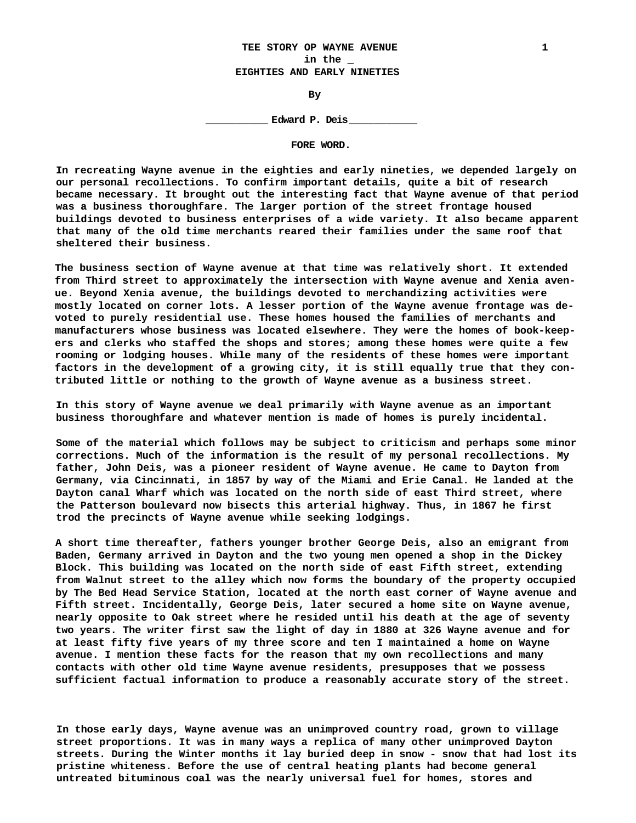# **TEE STORY OP WAYNE AVENUE 1 in the \_ EIGHTIES AND EARLY NINETIES**

**By**

**\_\_\_\_\_\_\_\_\_\_ Edward P. Deis\_\_\_\_\_\_\_\_\_\_\_**

**FORE WORD.**

**In recreating Wayne avenue in the eighties and early nineties, we depended largely on our personal recollections. To confirm important details, quite a bit of research became necessary. It brought out the interesting fact that Wayne avenue of that period was a business thoroughfare. The larger portion of the street frontage housed buildings devoted to business enterprises of a wide variety. It also became apparent that many of the old time merchants reared their families under the same roof that sheltered their business.**

**The business section of Wayne avenue at that time was relatively short. It extended from Third street to approximately the intersection with Wayne avenue and Xenia avenue. Beyond Xenia avenue, the buildings devoted to merchandizing activities were mostly located on corner lots. A lesser portion of the Wayne avenue frontage was devoted to purely residential use. These homes housed the families of merchants and manufacturers whose business was located elsewhere. They were the homes of book-keepers and clerks who staffed the shops and stores; among these homes were quite a few rooming or lodging houses. While many of the residents of these homes were important factors in the development of a growing city, it is still equally true that they contributed little or nothing to the growth of Wayne avenue as a business street.**

**In this story of Wayne avenue we deal primarily with Wayne avenue as an important business thoroughfare and whatever mention is made of homes is purely incidental.**

**Some of the material which follows may be subject to criticism and perhaps some minor corrections. Much of the information is the result of my personal recollections. My father, John Deis, was a pioneer resident of Wayne avenue. He came to Dayton from Germany, via Cincinnati, in 1857 by way of the Miami and Erie Canal. He landed at the Dayton canal Wharf which was located on the north side of east Third street, where the Patterson boulevard now bisects this arterial highway. Thus, in 1867 he first trod the precincts of Wayne avenue while seeking lodgings.**

**A short time thereafter, fathers younger brother George Deis, also an emigrant from Baden, Germany arrived in Dayton and the two young men opened a shop in the Dickey Block. This building was located on the north side of east Fifth street, extending from Walnut street to the alley which now forms the boundary of the property occupied by The Bed Head Service Station, located at the north east corner of Wayne avenue and Fifth street. Incidentally, George Deis, later secured a home site on Wayne avenue, nearly opposite to Oak street where he resided until his death at the age of seventy two years. The writer first saw the light of day in 1880 at 326 Wayne avenue and for at least fifty five years of my three score and ten I maintained a home on Wayne avenue. I mention these facts for the reason that my own recollections and many contacts with other old time Wayne avenue residents, presupposes that we possess sufficient factual information to produce a reasonably accurate story of the street.**

**In those early days, Wayne avenue was an unimproved country road, grown to village street proportions. It was in many ways a replica of many other unimproved Dayton streets. During the Winter months it lay buried deep in snow - snow that had lost its pristine whiteness. Before the use of central heating plants had become general untreated bituminous coal was the nearly universal fuel for homes, stores and**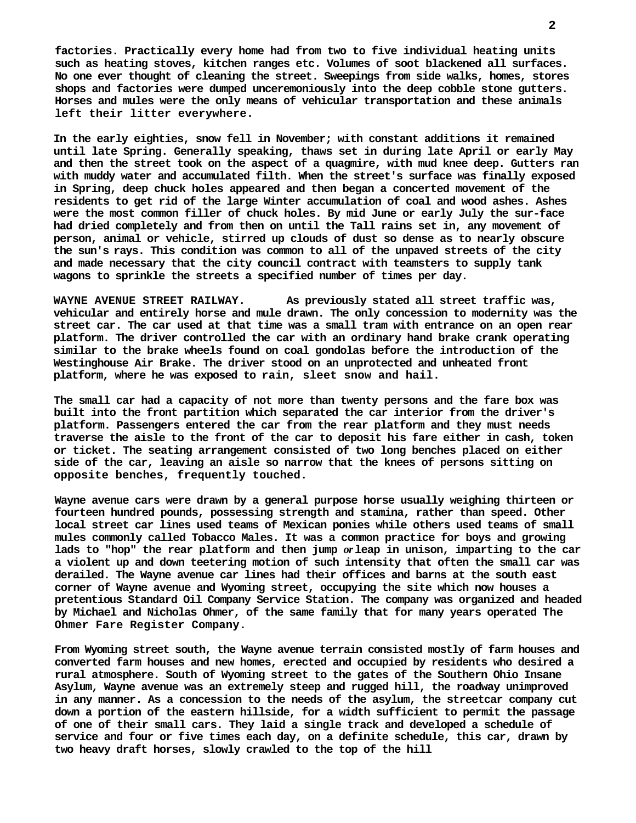**factories. Practically every home had from two to five individual heating units such as heating stoves, kitchen ranges etc. Volumes of soot blackened all surfaces. No one ever thought of cleaning the street. Sweepings from side walks, homes, stores shops and factories were dumped unceremoniously into the deep cobble stone gutters. Horses and mules were the only means of vehicular transportation and these animals left their litter everywhere.**

**In the early eighties, snow fell in November; with constant additions it remained until late Spring. Generally speaking, thaws set in during late April or early May and then the street took on the aspect of a quagmire, with mud knee deep. Gutters ran with muddy water and accumulated filth. When the street's surface was finally exposed in Spring, deep chuck holes appeared and then began a concerted movement of the residents to get rid of the large Winter accumulation of coal and wood ashes. Ashes were the most common filler of chuck holes. By mid June or early July the sur-face had dried completely and from then on until the Tall rains set in, any movement of person, animal or vehicle, stirred up clouds of dust so dense as to nearly obscure the sun's rays. This condition was common to all of the unpaved streets of the city and made necessary that the city council contract with teamsters to supply tank wagons to sprinkle the streets a specified number of times per day.**

**WAYNE AVENUE STREET RAILWAY. As previously stated all street traffic was, vehicular and entirely horse and mule drawn. The only concession to modernity was the street car. The car used at that time was a small tram with entrance on an open rear platform. The driver controlled the car with an ordinary hand brake crank operating similar to the brake wheels found on coal gondolas before the introduction of the Westinghouse Air Brake. The driver stood on an unprotected and unheated front platform, where he was exposed to rain, sleet snow and hail.**

**The small car had a capacity of not more than twenty persons and the fare box was built into the front partition which separated the car interior from the driver's platform. Passengers entered the car from the rear platform and they must needs traverse the aisle to the front of the car to deposit his fare either in cash, token or ticket. The seating arrangement consisted of two long benches placed on either side of the car, leaving an aisle so narrow that the knees of persons sitting on opposite benches, frequently touched.**

**Wayne avenue cars were drawn by a general purpose horse usually weighing thirteen or fourteen hundred pounds, possessing strength and stamina, rather than speed. Other local street car lines used teams of Mexican ponies while others used teams of small mules commonly called Tobacco Males. It was a common practice for boys and growing lads to "hop" the rear platform and then jump** *or* **leap in unison, imparting to the car a violent up and down teetering motion of such intensity that often the small car was derailed. The Wayne avenue car lines had their offices and barns at the south east corner of Wayne avenue and Wyoming street, occupying the site which now houses a pretentious Standard Oil Company Service Station. The company was organized and headed by Michael and Nicholas Ohmer, of the same family that for many years operated The Ohmer Fare Register Company.**

**From Wyoming street south, the Wayne avenue terrain consisted mostly of farm houses and converted farm houses and new homes, erected and occupied by residents who desired a rural atmosphere. South of Wyoming street to the gates of the Southern Ohio Insane Asylum, Wayne avenue was an extremely steep and rugged hill, the roadway unimproved in any manner. As a concession to the needs of the asylum, the streetcar company cut down a portion of the eastern hillside, for a width sufficient to permit the passage of one of their small cars. They laid a single track and developed a schedule of service and four or five times each day, on a definite schedule, this car, drawn by two heavy draft horses, slowly crawled to the top of the hill**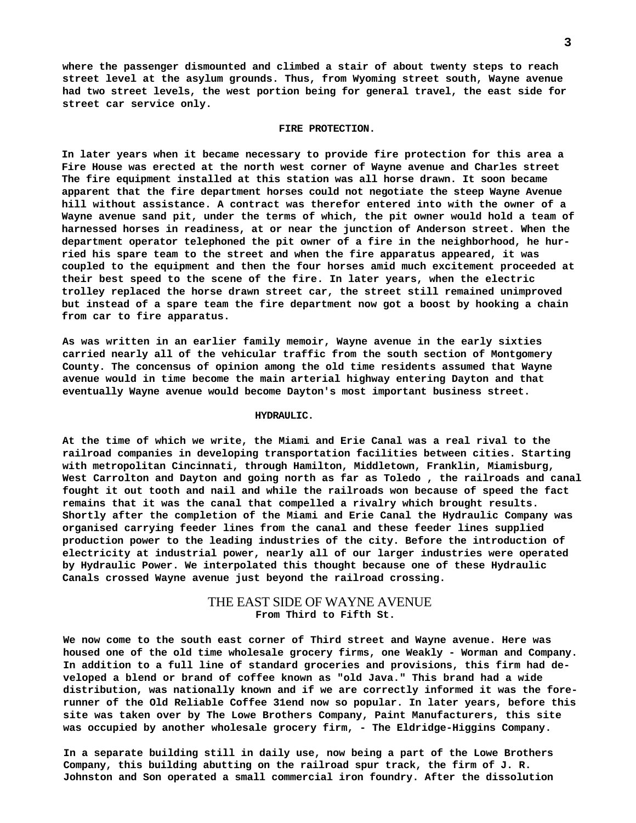**where the passenger dismounted and climbed a stair of about twenty steps to reach street level at the asylum grounds. Thus, from Wyoming street south, Wayne avenue had two street levels, the west portion being for general travel, the east side for street car service only.**

#### **FIRE PROTECTION.**

**In later years when it became necessary to provide fire protection for this area a Fire House was erected at the north west corner of Wayne avenue and Charles street The fire equipment installed at this station was all horse drawn. It soon became apparent that the fire department horses could not negotiate the steep Wayne Avenue hill without assistance. A contract was therefor entered into with the owner of a Wayne avenue sand pit, under the terms of which, the pit owner would hold a team of harnessed horses in readiness, at or near the junction of Anderson street. When the department operator telephoned the pit owner of a fire in the neighborhood, he hurried his spare team to the street and when the fire apparatus appeared, it was coupled to the equipment and then the four horses amid much excitement proceeded at their best speed to the scene of the fire. In later years, when the electric trolley replaced the horse drawn street car, the street still remained unimproved but instead of a spare team the fire department now got a boost by hooking a chain from car to fire apparatus.**

**As was written in an earlier family memoir, Wayne avenue in the early sixties carried nearly all of the vehicular traffic from the south section of Montgomery County. The concensus of opinion among the old time residents assumed that Wayne avenue would in time become the main arterial highway entering Dayton and that eventually Wayne avenue would become Dayton's most important business street.**

#### **HYDRAULIC.**

**At the time of which we write, the Miami and Erie Canal was a real rival to the railroad companies in developing transportation facilities between cities. Starting with metropolitan Cincinnati, through Hamilton, Middletown, Franklin, Miamisburg, West Carrolton and Dayton and going north as far as Toledo , the railroads and canal fought it out tooth and nail and while the railroads won because of speed the fact remains that it was the canal that compelled a rivalry which brought results. Shortly after the completion of the Miami and Erie Canal the Hydraulic Company was organised carrying feeder lines from the canal and these feeder lines supplied production power to the leading industries of the city. Before the introduction of electricity at industrial power, nearly all of our larger industries were operated by Hydraulic Power. We interpolated this thought because one of these Hydraulic Canals crossed Wayne avenue just beyond the railroad crossing.**

# THE EAST SIDE OF WAYNE AVENUE **From Third to Fifth St.**

**We now come to the south east corner of Third street and Wayne avenue. Here was housed one of the old time wholesale grocery firms, one Weakly - Worman and Company. In addition to a full line of standard groceries and provisions, this firm had developed a blend or brand of coffee known as "old Java." This brand had a wide distribution, was nationally known and if we are correctly informed it was the forerunner of the Old Reliable Coffee 31end now so popular. In later years, before this site was taken over by The Lowe Brothers Company, Paint Manufacturers, this site was occupied by another wholesale grocery firm, - The Eldridge-Higgins Company.**

**In a separate building still in daily use, now being a part of the Lowe Brothers Company, this building abutting on the railroad spur track, the firm of J. R. Johnston and Son operated a small commercial iron foundry. After the dissolution**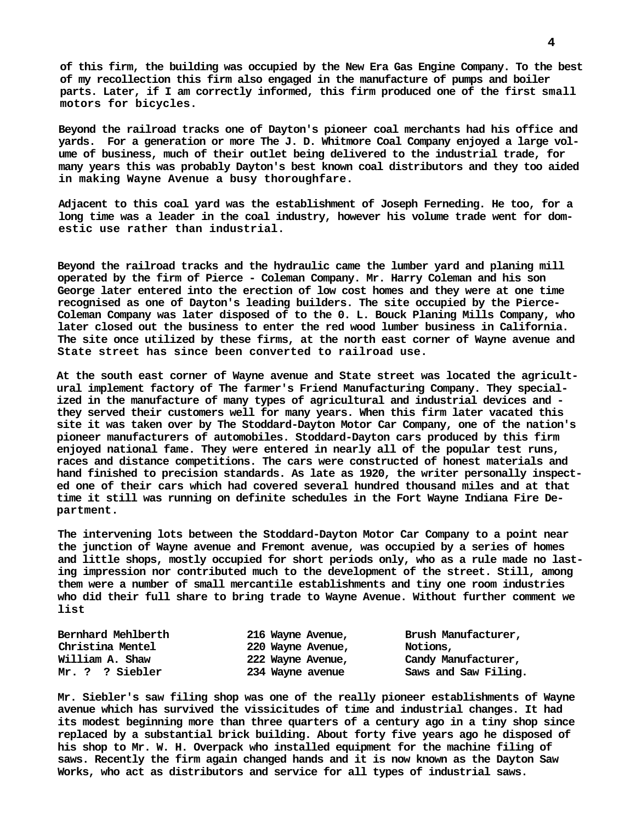**of this firm, the building was occupied by the New Era Gas Engine Company. To the best of my recollection this firm also engaged in the manufacture of pumps and boiler parts. Later, if I am correctly informed, this firm produced one of the first small motors for bicycles.**

**Beyond the railroad tracks one of Dayton's pioneer coal merchants had his office and yards. For a generation or more The J. D. Whitmore Coal Company enjoyed a large volume of business, much of their outlet being delivered to the industrial trade, for many years this was probably Dayton's best known coal distributors and they too aided in making Wayne Avenue a busy thoroughfare.**

**Adjacent to this coal yard was the establishment of Joseph Ferneding. He too, for a long time was a leader in the coal industry, however his volume trade went for domestic use rather than industrial.**

**Beyond the railroad tracks and the hydraulic came the lumber yard and planing mill operated by the firm of Pierce - Coleman Company. Mr. Harry Coleman and his son George later entered into the erection of low cost homes and they were at one time recognised as one of Dayton's leading builders. The site occupied by the Pierce-Coleman Company was later disposed of to the 0. L. Bouck Planing Mills Company, who later closed out the business to enter the red wood lumber business in California. The site once utilized by these firms, at the north east corner of Wayne avenue and State street has since been converted to railroad use.**

**At the south east corner of Wayne avenue and State street was located the agricultural implement factory of The farmer's Friend Manufacturing Company. They specialized in the manufacture of many types of agricultural and industrial devices and they served their customers well for many years. When this firm later vacated this site it was taken over by The Stoddard-Dayton Motor Car Company, one of the nation's pioneer manufacturers of automobiles. Stoddard-Dayton cars produced by this firm enjoyed national fame. They were entered in nearly all of the popular test runs, races and distance competitions. The cars were constructed of honest materials and hand finished to precision standards. As late as 1920, the writer personally inspected one of their cars which had covered several hundred thousand miles and at that time it still was running on definite schedules in the Fort Wayne Indiana Fire Department.**

**The intervening lots between the Stoddard-Dayton Motor Car Company to a point near the junction of Wayne avenue and Fremont avenue, was occupied by a series of homes and little shops, mostly occupied for short periods only, who as a rule made no lasting impression nor contributed much to the development of the street. Still, among them were a number of small mercantile establishments and tiny one room industries who did their full share to bring trade to Wayne Avenue. Without further comment we list**

| Bernhard Mehlberth | 216 Wayne Avenue, | Brush Manufacturer,  |
|--------------------|-------------------|----------------------|
| Christina Mentel   | 220 Wayne Avenue, | Notions,             |
| William A. Shaw    | 222 Wayne Avenue, | Candy Manufacturer,  |
| Mr. ? ? Siebler    | 234 Wayne avenue  | Saws and Saw Filing. |

**Mr. Siebler's saw filing shop was one of the really pioneer establishments of Wayne avenue which has survived the vissicitudes of time and industrial changes. It had its modest beginning more than three quarters of a century ago in a tiny shop since replaced by a substantial brick building. About forty five years ago he disposed of his shop to Mr. W. H. Overpack who installed equipment for the machine filing of saws. Recently the firm again changed hands and it is now known as the Dayton Saw Works, who act as distributors and service for all types of industrial saws.**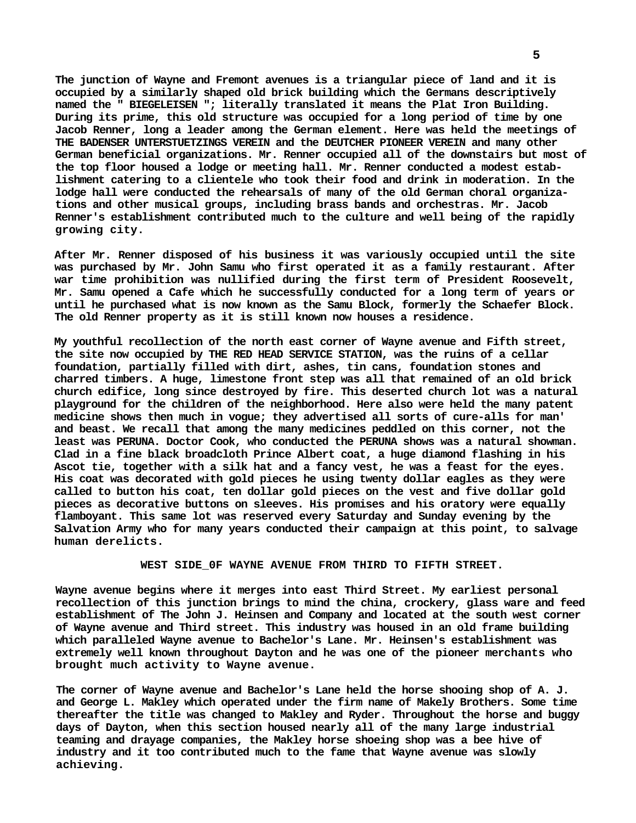**The junction of Wayne and Fremont avenues is a triangular piece of land and it is occupied by a similarly shaped old brick building which the Germans descriptively named the " BIEGELEISEN "; literally translated it means the Plat Iron Building. During its prime, this old structure was occupied for a long period of time by one Jacob Renner, long a leader among the German element. Here was held the meetings of THE BADENSER UNTERSTUETZINGS VEREIN and the DEUTCHER PIONEER VEREIN and many other German beneficial organizations. Mr. Renner occupied all of the downstairs but most of the top floor housed a lodge or meeting hall. Mr. Renner conducted a modest establishment catering to a clientele who took their food and drink in moderation. In the lodge hall were conducted the rehearsals of many of the old German choral organizations and other musical groups, including brass bands and orchestras. Mr. Jacob Renner's establishment contributed much to the culture and well being of the rapidly growing city.**

**After Mr. Renner disposed of his business it was variously occupied until the site was purchased by Mr. John Samu who first operated it as a family restaurant. After war time prohibition was nullified during the first term of President Roosevelt, Mr. Samu opened a Cafe which he successfully conducted for a long term of years or until he purchased what is now known as the Samu Block, formerly the Schaefer Block. The old Renner property as it is still known now houses a residence.**

**My youthful recollection of the north east corner of Wayne avenue and Fifth street, the site now occupied by THE RED HEAD SERVICE STATION, was the ruins of a cellar foundation, partially filled with dirt, ashes, tin cans, foundation stones and charred timbers. A huge, limestone front step was all that remained of an old brick church edifice, long since destroyed by fire. This deserted church lot was a natural playground for the children of the neighborhood. Here also were held the many patent medicine shows then much in vogue; they advertised all sorts of cure-alls for man' and beast. We recall that among the many medicines peddled on this corner, not the least was PERUNA. Doctor Cook, who conducted the PERUNA shows was a natural showman. Clad in a fine black broadcloth Prince Albert coat, a huge diamond flashing in his Ascot tie, together with a silk hat and a fancy vest, he was a feast for the eyes. His coat was decorated with gold pieces he using twenty dollar eagles as they were called to button his coat, ten dollar gold pieces on the vest and five dollar gold pieces as decorative buttons on sleeves. His promises and his oratory were equally flamboyant. This same lot was reserved every Saturday and Sunday evening by the Salvation Army who for many years conducted their campaign at this point, to salvage human derelicts.**

# **WEST SIDE\_0F WAYNE AVENUE FROM THIRD TO FIFTH STREET.**

**Wayne avenue begins where it merges into east Third Street. My earliest personal recollection of this junction brings to mind the china, crockery, glass ware and feed establishment of The John J. Heinsen and Company and located at the south west corner of Wayne avenue and Third street. This industry was housed in an old frame building which paralleled Wayne avenue to Bachelor's Lane. Mr. Heinsen's establishment was extremely well known throughout Dayton and he was one of the pioneer merchants who brought much activity to Wayne avenue.**

**The corner of Wayne avenue and Bachelor's Lane held the horse shooing shop of A. J. and George L. Makley which operated under the firm name of Makely Brothers. Some time thereafter the title was changed to Makley and Ryder. Throughout the horse and buggy days of Dayton, when this section housed nearly all of the many large industrial teaming and drayage companies, the Makley horse shoeing shop was a bee hive of industry and it too contributed much to the fame that Wayne avenue was slowly achieving.**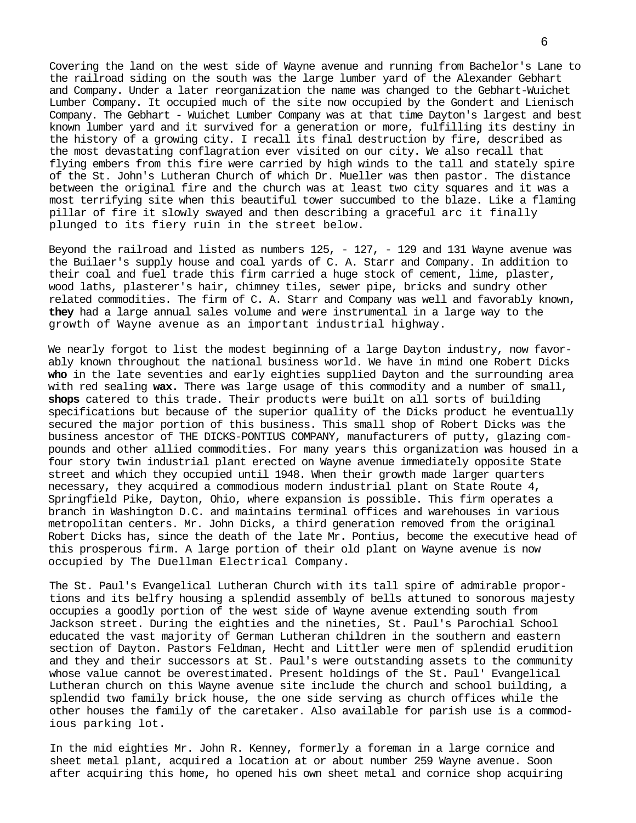Covering the land on the west side of Wayne avenue and running from Bachelor's Lane to the railroad siding on the south was the large lumber yard of the Alexander Gebhart and Company. Under a later reorganization the name was changed to the Gebhart-Wuichet Lumber Company. It occupied much of the site now occupied by the Gondert and Lienisch Company. The Gebhart - Wuichet Lumber Company was at that time Dayton's largest and best known lumber yard and it survived for a generation or more, fulfilling its destiny in the history of a growing city. I recall its final destruction by fire, described as the most devastating conflagration ever visited on our city. We also recall that flying embers from this fire were carried by high winds to the tall and stately spire of the St. John's Lutheran Church of which Dr. Mueller was then pastor. The distance between the original fire and the church was at least two city squares and it was a most terrifying site when this beautiful tower succumbed to the blaze. Like a flaming pillar of fire it slowly swayed and then describing a graceful arc it finally plunged to its fiery ruin in the street below.

Beyond the railroad and listed as numbers 125, - 127, - 129 and 131 Wayne avenue was the Builaer's supply house and coal yards of C. A. Starr and Company. In addition to their coal and fuel trade this firm carried a huge stock of cement, lime, plaster, wood laths, plasterer's hair, chimney tiles, sewer pipe, bricks and sundry other related commodities. The firm of C. A. Starr and Company was well and favorably known, **they** had a large annual sales volume and were instrumental in a large way to the growth of Wayne avenue as an important industrial highway.

We nearly forgot to list the modest beginning of a large Dayton industry, now favorably known throughout the national business world. We have in mind one Robert Dicks **who** in the late seventies and early eighties supplied Dayton and the surrounding area with red sealing **wax.** There was large usage of this commodity and a number of small, **shops** catered to this trade. Their products were built on all sorts of building specifications but because of the superior quality of the Dicks product he eventually secured the major portion of this business. This small shop of Robert Dicks was the business ancestor of THE DICKS-PONTIUS COMPANY, manufacturers of putty, glazing compounds and other allied commodities. For many years this organization was housed in a four story twin industrial plant erected on Wayne avenue immediately opposite State street and which they occupied until 1948. When their growth made larger quarters necessary, they acquired a commodious modern industrial plant on State Route 4, Springfield Pike, Dayton, Ohio, where expansion is possible. This firm operates a branch in Washington D.C. and maintains terminal offices and warehouses in various metropolitan centers. Mr. John Dicks, a third generation removed from the original Robert Dicks has, since the death of the late Mr**.** Pontius, become the executive head of this prosperous firm. A large portion of their old plant on Wayne avenue is now occupied by The Duellman Electrical Company.

The St. Paul's Evangelical Lutheran Church with its tall spire of admirable proportions and its belfry housing a splendid assembly of bells attuned to sonorous majesty occupies a goodly portion of the west side of Wayne avenue extending south from Jackson street. During the eighties and the nineties, St. Paul's Parochial School educated the vast majority of German Lutheran children in the southern and eastern section of Dayton. Pastors Feldman, Hecht and Littler were men of splendid erudition and they and their successors at St. Paul's were outstanding assets to the community whose value cannot be overestimated. Present holdings of the St. Paul' Evangelical Lutheran church on this Wayne avenue site include the church and school building, a splendid two family brick house, the one side serving as church offices while the other houses the family of the caretaker. Also available for parish use is a commodious parking lot.

In the mid eighties Mr. John R. Kenney, formerly a foreman in a large cornice and sheet metal plant, acquired a location at or about number 259 Wayne avenue. Soon after acquiring this home, ho opened his own sheet metal and cornice shop acquiring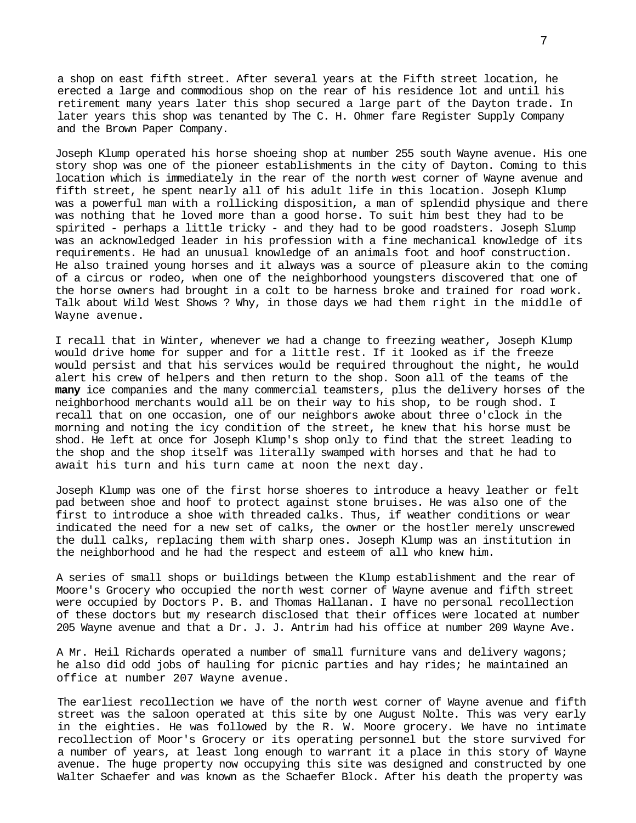a shop on east fifth street. After several years at the Fifth street location, he erected a large and commodious shop on the rear of his residence lot and until his retirement many years later this shop secured a large part of the Dayton trade. In later years this shop was tenanted by The C. H. Ohmer fare Register Supply Company and the Brown Paper Company.

Joseph Klump operated his horse shoeing shop at number 255 south Wayne avenue. His one story shop was one of the pioneer establishments in the city of Dayton. Coming to this location which is immediately in the rear of the north west corner of Wayne avenue and fifth street, he spent nearly all of his adult life in this location. Joseph Klump was a powerful man with a rollicking disposition, a man of splendid physique and there was nothing that he loved more than a good horse. To suit him best they had to be spirited - perhaps a little tricky - and they had to be good roadsters. Joseph Slump was an acknowledged leader in his profession with a fine mechanical knowledge of its requirements. He had an unusual knowledge of an animals foot and hoof construction. He also trained young horses and it always was a source of pleasure akin to the coming of a circus or rodeo, when one of the neighborhood youngsters discovered that one of the horse owners had brought in a colt to be harness broke and trained for road work. Talk about Wild West Shows ? Why, in those days we had them right in the middle of Wayne avenue.

I recall that in Winter, whenever we had a change to freezing weather, Joseph Klump would drive home for supper and for a little rest. If it looked as if the freeze would persist and that his services would be required throughout the night, he would alert his crew of helpers and then return to the shop. Soon all of the teams of the **many** ice companies and the many commercial teamsters, plus the delivery horses of the neighborhood merchants would all be on their way to his shop, to be rough shod. I recall that on one occasion, one of our neighbors awoke about three o'clock in the morning and noting the icy condition of the street, he knew that his horse must be shod. He left at once for Joseph Klump's shop only to find that the street leading to the shop and the shop itself was literally swamped with horses and that he had to await his turn and his turn came at noon the next day.

Joseph Klump was one of the first horse shoeres to introduce a heavy leather or felt pad between shoe and hoof to protect against stone bruises. He was also one of the first to introduce a shoe with threaded calks. Thus, if weather conditions or wear indicated the need for a new set of calks, the owner or the hostler merely unscrewed the dull calks, replacing them with sharp ones. Joseph Klump was an institution in the neighborhood and he had the respect and esteem of all who knew him.

A series of small shops or buildings between the Klump establishment and the rear of Moore's Grocery who occupied the north west corner of Wayne avenue and fifth street were occupied by Doctors P. B. and Thomas Hallanan. I have no personal recollection of these doctors but my research disclosed that their offices were located at number 205 Wayne avenue and that a Dr. J. J. Antrim had his office at number 209 Wayne Ave.

A Mr. Heil Richards operated a number of small furniture vans and delivery wagons; he also did odd jobs of hauling for picnic parties and hay rides; he maintained an office at number 207 Wayne avenue.

The earliest recollection we have of the north west corner of Wayne avenue and fifth street was the saloon operated at this site by one August Nolte. This was very early in the eighties. He was followed by the R. W. Moore grocery. We have no intimate recollection of Moor's Grocery or its operating personnel but the store survived for a number of years, at least long enough to warrant it a place in this story of Wayne avenue. The huge property now occupying this site was designed and constructed by one Walter Schaefer and was known as the Schaefer Block. After his death the property was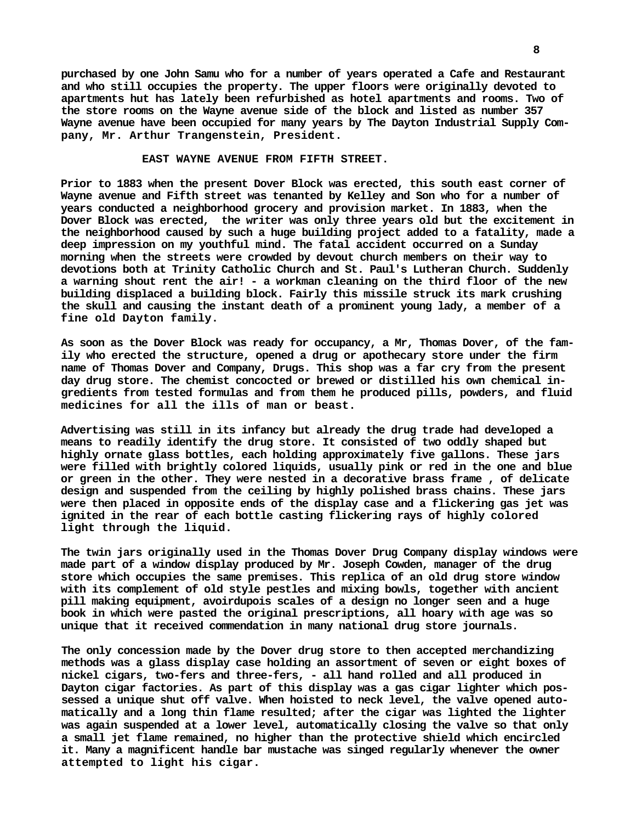**purchased by one John Samu who for a number of years operated a Cafe and Restaurant and who still occupies the property. The upper floors were originally devoted to apartments hut has lately been refurbished as hotel apartments and rooms. Two of the store rooms on the Wayne avenue side of the block and listed as number 357 Wayne avenue have been occupied for many years by The Dayton Industrial Supply Company, Mr. Arthur Trangenstein, President.**

#### **EAST WAYNE AVENUE FROM FIFTH STREET.**

**Prior to 1883 when the present Dover Block was erected, this south east corner of Wayne avenue and Fifth street was tenanted by Kelley and Son who for a number of years conducted a neighborhood grocery and provision market. In 1883, when the Dover Block was erected, the writer was only three years old but the excitement in the neighborhood caused by such a huge building project added to a fatality, made a deep impression on my youthful mind. The fatal accident occurred on a Sunday morning when the streets were crowded by devout church members on their way to devotions both at Trinity Catholic Church and St. Paul's Lutheran Church. Suddenly a warning shout rent the air! - a workman cleaning on the third floor of the new building displaced a building block. Fairly this missile struck its mark crushing the skull and causing the instant death of a prominent young lady, a member of a fine old Dayton family.**

**As soon as the Dover Block was ready for occupancy, a Mr, Thomas Dover, of the family who erected the structure, opened a drug or apothecary store under the firm name of Thomas Dover and Company, Drugs. This shop was a far cry from the present day drug store. The chemist concocted or brewed or distilled his own chemical ingredients from tested formulas and from them he produced pills, powders, and fluid medicines for all the ills of man or beast.**

**Advertising was still in its infancy but already the drug trade had developed a means to readily identify the drug store. It consisted of two oddly shaped but highly ornate glass bottles, each holding approximately five gallons. These jars were filled with brightly colored liquids, usually pink or red in the one and blue or green in the other. They were nested in a decorative brass frame , of delicate design and suspended from the ceiling by highly polished brass chains. These jars were then placed in opposite ends of the display case and a flickering gas jet was ignited in the rear of each bottle casting flickering rays of highly colored light through the liquid.**

**The twin jars originally used in the Thomas Dover Drug Company display windows were made part of a window display produced by Mr. Joseph Cowden, manager of the drug store which occupies the same premises. This replica of an old drug store window with its complement of old style pestles and mixing bowls, together with ancient pill making equipment, avoirdupois scales of a design no longer seen and a huge book in which were pasted the original prescriptions, all hoary with age was so unique that it received commendation in many national drug store journals.**

**The only concession made by the Dover drug store to then accepted merchandizing methods was a glass display case holding an assortment of seven or eight boxes of nickel cigars, two-fers and three-fers, - all hand rolled and all produced in Dayton cigar factories. As part of this display was a gas cigar lighter which possessed a unique shut off valve. When hoisted to neck level, the valve opened automatically and a long thin flame resulted; after the cigar was lighted the lighter was again suspended at a lower level, automatically closing the valve so that only a small jet flame remained, no higher than the protective shield which encircled it. Many a magnificent handle bar mustache was singed regularly whenever the owner attempted to light his cigar.**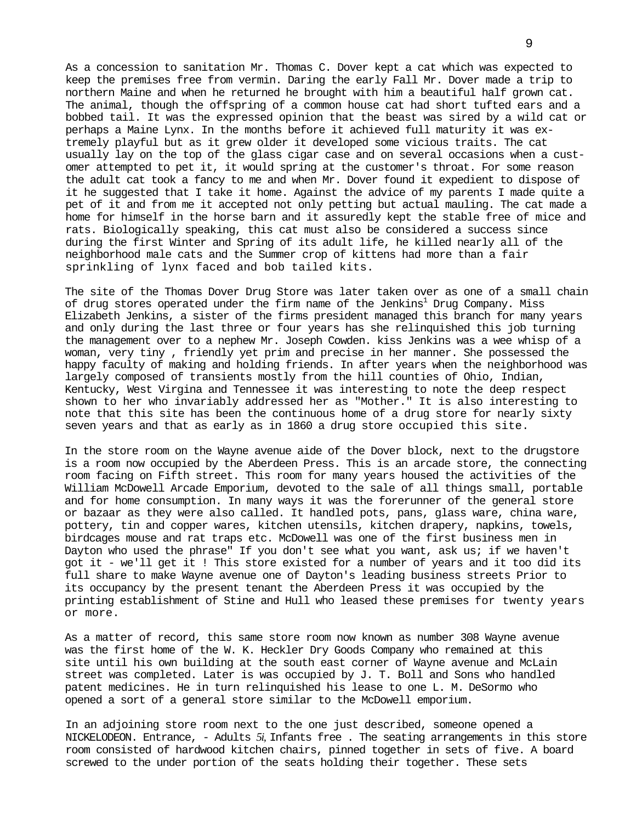As a concession to sanitation Mr. Thomas C. Dover kept a cat which was expected to keep the premises free from vermin. Daring the early Fall Mr. Dover made a trip to northern Maine and when he returned he brought with him a beautiful half grown cat. The animal, though the offspring of a common house cat had short tufted ears and a bobbed tail. It was the expressed opinion that the beast was sired by a wild cat or perhaps a Maine Lynx. In the months before it achieved full maturity it was extremely playful but as it grew older it developed some vicious traits. The cat usually lay on the top of the glass cigar case and on several occasions when a customer attempted to pet it, it would spring at the customer's throat. For some reason the adult cat took a fancy to me and when Mr. Dover found it expedient to dispose of it he suggested that I take it home. Against the advice of my parents I made quite a pet of it and from me it accepted not only petting but actual mauling. The cat made a home for himself in the horse barn and it assuredly kept the stable free of mice and rats. Biologically speaking, this cat must also be considered a success since during the first Winter and Spring of its adult life, he killed nearly all of the neighborhood male cats and the Summer crop of kittens had more than a fair sprinkling of lynx faced and bob tailed kits.

The site of the Thomas Dover Drug Store was later taken over as one of a small chain of drug stores operated under the firm name of the Jenkins $^1$  Drug Company. Miss Elizabeth Jenkins, a sister of the firms president managed this branch for many years and only during the last three or four years has she relinquished this job turning the management over to a nephew Mr. Joseph Cowden. kiss Jenkins was a wee whisp of a woman, very tiny , friendly yet prim and precise in her manner. She possessed the happy faculty of making and holding friends. In after years when the neighborhood was largely composed of transients mostly from the hill counties of Ohio, Indian, Kentucky, West Virgina and Tennessee it was interesting to note the deep respect shown to her who invariably addressed her as "Mother." It is also interesting to note that this site has been the continuous home of a drug store for nearly sixty seven years and that as early as in 1860 a drug store occupied this site.

In the store room on the Wayne avenue aide of the Dover block, next to the drugstore is a room now occupied by the Aberdeen Press. This is an arcade store, the connecting room facing on Fifth street. This room for many years housed the activities of the William McDowell Arcade Emporium, devoted to the sale of all things small, portable and for home consumption. In many ways it was the forerunner of the general store or bazaar as they were also called. It handled pots, pans, glass ware, china ware, pottery, tin and copper wares, kitchen utensils, kitchen drapery, napkins, towels, birdcages mouse and rat traps etc. McDowell was one of the first business men in Dayton who used the phrase" If you don't see what you want, ask us; if we haven't got it - we'll get it ! This store existed for a number of years and it too did its full share to make Wayne avenue one of Dayton's leading business streets Prior to its occupancy by the present tenant the Aberdeen Press it was occupied by the printing establishment of Stine and Hull who leased these premises for twenty years or more.

As a matter of record, this same store room now known as number 308 Wayne avenue was the first home of the W. K. Heckler Dry Goods Company who remained at this site until his own building at the south east corner of Wayne avenue and McLain street was completed. Later is was occupied by J. T. Boll and Sons who handled patent medicines. He in turn relinquished his lease to one L. M. DeSormo who opened a sort of a general store similar to the McDowell emporium.

In an adjoining store room next to the one just described, someone opened a NICKELODEON. Entrance, - Adults *5i,* Infants free . The seating arrangements in this store room consisted of hardwood kitchen chairs, pinned together in sets of five. A board screwed to the under portion of the seats holding their together. These sets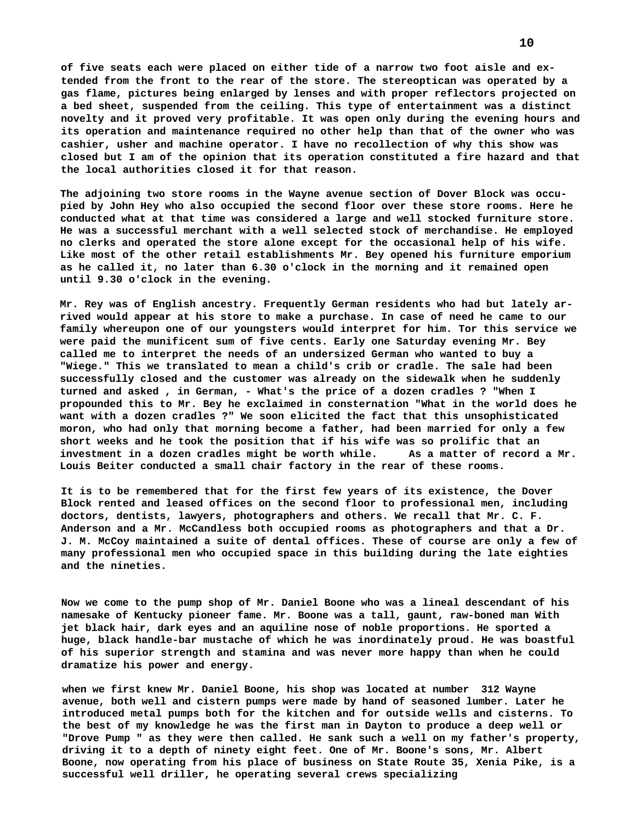**of five seats each were placed on either tide of a narrow two foot aisle and extended from the front to the rear of the store. The stereoptican was operated by a gas flame, pictures being enlarged by lenses and with proper reflectors projected on a bed sheet, suspended from the ceiling. This type of entertainment was a distinct novelty and it proved very profitable. It was open only during the evening hours and its operation and maintenance required no other help than that of the owner who was cashier, usher and machine operator. I have no recollection of why this show was closed but I am of the opinion that its operation constituted a fire hazard and that the local authorities closed it for that reason.**

**The adjoining two store rooms in the Wayne avenue section of Dover Block was occupied by John Hey who also occupied the second floor over these store rooms. Here he conducted what at that time was considered a large and well stocked furniture store. He was a successful merchant with a well selected stock of merchandise. He employed no clerks and operated the store alone except for the occasional help of his wife. Like most of the other retail establishments Mr. Bey opened his furniture emporium as he called it, no later than 6.30 o'clock in the morning and it remained open until 9.30 o'clock in the evening.**

**Mr. Rey was of English ancestry. Frequently German residents who had but lately arrived would appear at his store to make a purchase. In case of need he came to our family whereupon one of our youngsters would interpret for him. Tor this service we were paid the munificent sum of five cents. Early one Saturday evening Mr. Bey called me to interpret the needs of an undersized German who wanted to buy a "Wiege." This we translated to mean a child's crib or cradle. The sale had been successfully closed and the customer was already on the sidewalk when he suddenly turned and asked , in German, - What's the price of a dozen cradles ? "When I propounded this to Mr. Bey he exclaimed in consternation "What in the world does he want with a dozen cradles ?" We soon elicited the fact that this unsophisticated moron, who had only that morning become a father, had been married for only a few short weeks and he took the position that if his wife was so prolific that an investment in a dozen cradles might be worth while. As a matter of record a Mr. Louis Beiter conducted a small chair factory in the rear of these rooms.**

**It is to be remembered that for the first few years of its existence, the Dover Block rented and leased offices on the second floor to professional men, including doctors, dentists, lawyers, photographers and others. We recall that Mr. C. F. Anderson and a Mr. McCandless both occupied rooms as photographers and that a Dr. J. M. McCoy maintained a suite of dental offices. These of course are only a few of many professional men who occupied space in this building during the late eighties and the nineties.**

**Now we come to the pump shop of Mr. Daniel Boone who was a lineal descendant of his namesake of Kentucky pioneer fame. Mr. Boone was a tall, gaunt, raw-boned man With jet black hair, dark eyes and an aquiline nose of noble proportions. He sported a huge, black handle-bar mustache of which he was inordinately proud. He was boastful of his superior strength and stamina and was never more happy than when he could dramatize his power and energy.**

**when we first knew Mr. Daniel Boone, his shop was located at number 312 Wayne avenue, both well and cistern pumps were made by hand of seasoned lumber. Later he introduced metal pumps both for the kitchen and for outside wells and cisterns. To the best of my knowledge he was the first man in Dayton to produce a deep well or "Drove Pump " as they were then called. He sank such a well on my father's property, driving it to a depth of ninety eight feet. One of Mr. Boone's sons, Mr. Albert Boone, now operating from his place of business on State Route 35, Xenia Pike, is a successful well driller, he operating several crews specializing**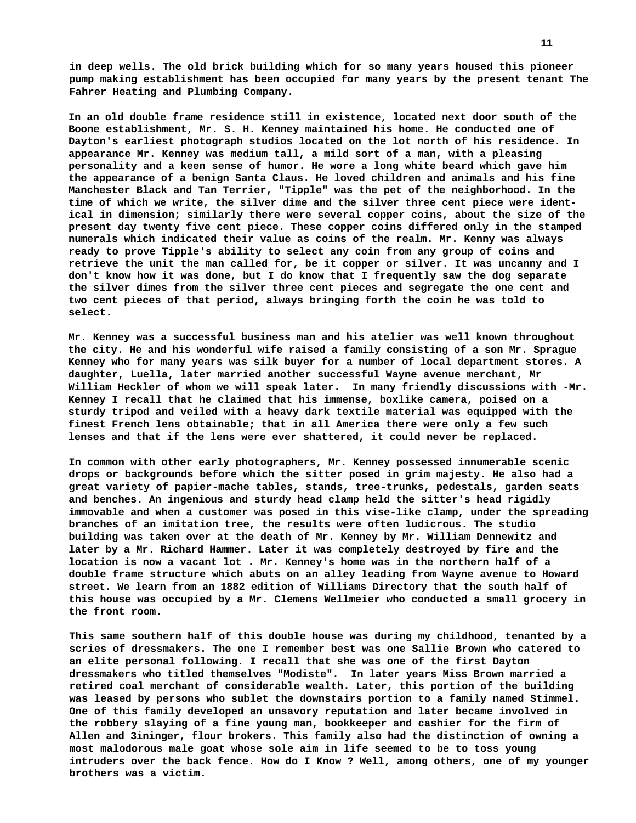**in deep wells. The old brick building which for so many years housed this pioneer pump making establishment has been occupied for many years by the present tenant The Fahrer Heating and Plumbing Company.**

**In an old double frame residence still in existence, located next door south of the Boone establishment, Mr. S. H. Kenney maintained his home. He conducted one of Dayton's earliest photograph studios located on the lot north of his residence. In appearance Mr. Kenney was medium tall, a mild sort of a man, with a pleasing personality and a keen sense of humor. He wore a long white beard which gave him the appearance of a benign Santa Claus. He loved children and animals and his fine Manchester Black and Tan Terrier, "Tipple" was the pet of the neighborhood. In the time of which we write, the silver dime and the silver three cent piece were identical in dimension; similarly there were several copper coins, about the size of the present day twenty five cent piece. These copper coins differed only in the stamped numerals which indicated their value as coins of the realm. Mr. Kenny was always ready to prove Tipple's ability to select any coin from any group of coins and retrieve the unit the man called for, be it copper or silver. It was uncanny and I don't know how it was done, but I do know that I frequently saw the dog separate the silver dimes from the silver three cent pieces and segregate the one cent and two cent pieces of that period, always bringing forth the coin he was told to select.**

**Mr. Kenney was a successful business man and his atelier was well known throughout the city. He and his wonderful wife raised a family consisting of a son Mr. Sprague Kenney who for many years was silk buyer for a number of local department stores. A daughter, Luella, later married another successful Wayne avenue merchant, Mr William Heckler of whom we will speak later. In many friendly discussions with -Mr. Kenney I recall that he claimed that his immense, boxlike camera, poised on a sturdy tripod and veiled with a heavy dark textile material was equipped with the finest French lens obtainable; that in all America there were only a few such lenses and that if the lens were ever shattered, it could never be replaced.**

**In common with other early photographers, Mr. Kenney possessed innumerable scenic drops or backgrounds before which the sitter posed in grim majesty. He also had a great variety of papier-mache tables, stands, tree-trunks, pedestals, garden seats and benches. An ingenious and sturdy head clamp held the sitter's head rigidly immovable and when a customer was posed in this vise-like clamp, under the spreading branches of an imitation tree, the results were often ludicrous. The studio building was taken over at the death of Mr. Kenney by Mr. William Dennewitz and later by a Mr. Richard Hammer. Later it was completely destroyed by fire and the location is now a vacant lot . Mr. Kenney's home was in the northern half of a double frame structure which abuts on an alley leading from Wayne avenue to Howard street. We learn from an 1882 edition of Williams Directory that the south half of this house was occupied by a Mr. Clemens Wellmeier who conducted a small grocery in the front room.**

**This same southern half of this double house was during my childhood, tenanted by a scries of dressmakers. The one I remember best was one Sallie Brown who catered to an elite personal following. I recall that she was one of the first Dayton dressmakers who titled themselves "Modiste". In later years Miss Brown married a retired coal merchant of considerable wealth. Later, this portion of the building was leased by persons who sublet the downstairs portion to a family named Stimmel. One of this family developed an unsavory reputation and later became involved in the robbery slaying of a fine young man, bookkeeper and cashier for the firm of Allen and 3ininger, flour brokers. This family also had the distinction of owning a most malodorous male goat whose sole aim in life seemed to be to toss young intruders over the back fence. How do I Know ? Well, among others, one of my younger brothers was a victim.**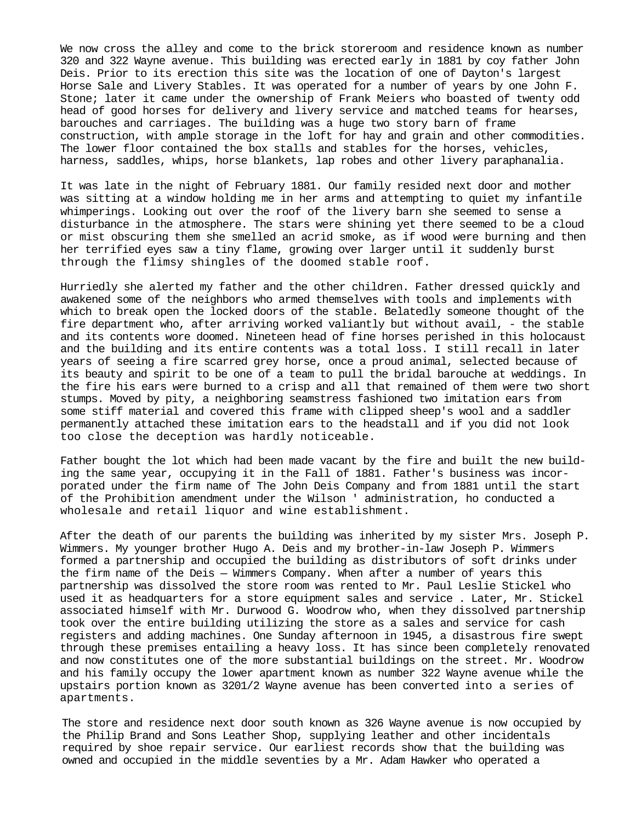We now cross the alley and come to the brick storeroom and residence known as number 320 and 322 Wayne avenue. This building was erected early in 1881 by coy father John Deis. Prior to its erection this site was the location of one of Dayton's largest Horse Sale and Livery Stables. It was operated for a number of years by one John F. Stone; later it came under the ownership of Frank Meiers who boasted of twenty odd head of good horses for delivery and livery service and matched teams for hearses, barouches and carriages. The building was a huge two story barn of frame construction, with ample storage in the loft for hay and grain and other commodities. The lower floor contained the box stalls and stables for the horses, vehicles, harness, saddles, whips, horse blankets, lap robes and other livery paraphanalia.

It was late in the night of February 1881. Our family resided next door and mother was sitting at a window holding me in her arms and attempting to quiet my infantile whimperings. Looking out over the roof of the livery barn she seemed to sense a disturbance in the atmosphere. The stars were shining yet there seemed to be a cloud or mist obscuring them she smelled an acrid smoke, as if wood were burning and then her terrified eyes saw a tiny flame, growing over larger until it suddenly burst through the flimsy shingles of the doomed stable roof.

Hurriedly she alerted my father and the other children. Father dressed quickly and awakened some of the neighbors who armed themselves with tools and implements with which to break open the locked doors of the stable. Belatedly someone thought of the fire department who, after arriving worked valiantly but without avail, - the stable and its contents wore doomed. Nineteen head of fine horses perished in this holocaust and the building and its entire contents was a total loss. I still recall in later years of seeing a fire scarred grey horse, once a proud animal, selected because of its beauty and spirit to be one of a team to pull the bridal barouche at weddings. In the fire his ears were burned to a crisp and all that remained of them were two short stumps. Moved by pity, a neighboring seamstress fashioned two imitation ears from some stiff material and covered this frame with clipped sheep's wool and a saddler permanently attached these imitation ears to the headstall and if you did not look too close the deception was hardly noticeable.

Father bought the lot which had been made vacant by the fire and built the new building the same year, occupying it in the Fall of 1881. Father's business was incorporated under the firm name of The John Deis Company and from 1881 until the start of the Prohibition amendment under the Wilson ' administration, ho conducted a wholesale and retail liquor and wine establishment.

After the death of our parents the building was inherited by my sister Mrs. Joseph P. Wimmers. My younger brother Hugo A. Deis and my brother-in-law Joseph P. Wimmers formed a partnership and occupied the building as distributors of soft drinks under the firm name of the Deis — Wimmers Company. When after a number of years this partnership was dissolved the store room was rented to Mr. Paul Leslie Stickel who used it as headquarters for a store equipment sales and service . Later, Mr. Stickel associated himself with Mr. Durwood G. Woodrow who, when they dissolved partnership took over the entire building utilizing the store as a sales and service for cash registers and adding machines. One Sunday afternoon in 1945, a disastrous fire swept through these premises entailing a heavy loss. It has since been completely renovated and now constitutes one of the more substantial buildings on the street. Mr. Woodrow and his family occupy the lower apartment known as number 322 Wayne avenue while the upstairs portion known as 3201/2 Wayne avenue has been converted into a series of apartments.

The store and residence next door south known as 326 Wayne avenue is now occupied by the Philip Brand and Sons Leather Shop, supplying leather and other incidentals required by shoe repair service. Our earliest records show that the building was owned and occupied in the middle seventies by a Mr. Adam Hawker who operated a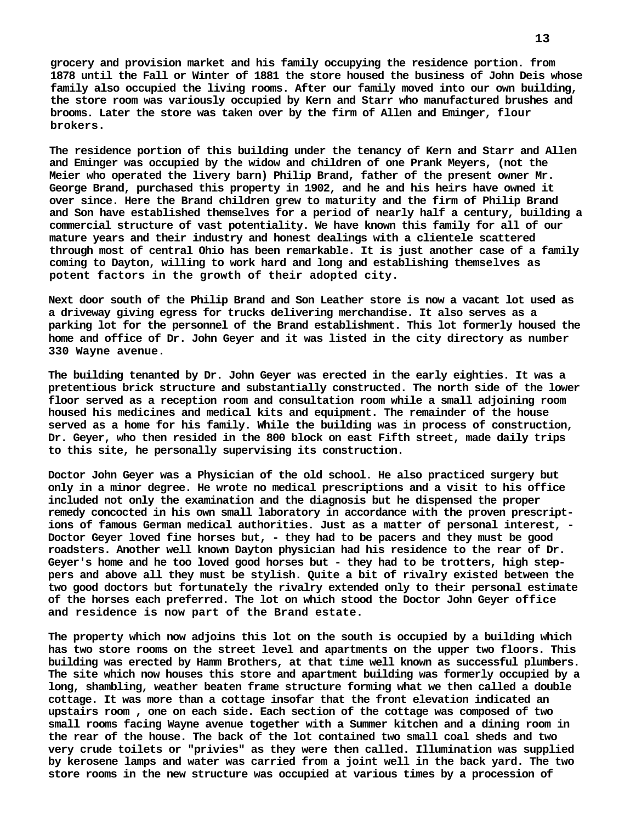**grocery and provision market and his family occupying the residence portion. from 1878 until the Fall or Winter of 1881 the store housed the business of John Deis whose family also occupied the living rooms. After our family moved into our own building, the store room was variously occupied by Kern and Starr who manufactured brushes and brooms. Later the store was taken over by the firm of Allen and Eminger, flour brokers.**

**The residence portion of this building under the tenancy of Kern and Starr and Allen and Eminger was occupied by the widow and children of one Prank Meyers, (not the Meier who operated the livery barn) Philip Brand, father of the present owner Mr. George Brand, purchased this property in 1902, and he and his heirs have owned it over since. Here the Brand children grew to maturity and the firm of Philip Brand and Son have established themselves for a period of nearly half a century, building a commercial structure of vast potentiality. We have known this family for all of our mature years and their industry and honest dealings with a clientele scattered through most of central Ohio has been remarkable. It is just another case of a family coming to Dayton, willing to work hard and long and establishing themselves as potent factors in the growth of their adopted city.**

**Next door south of the Philip Brand and Son Leather store is now a vacant lot used as a driveway giving egress for trucks delivering merchandise. It also serves as a parking lot for the personnel of the Brand establishment. This lot formerly housed the home and office of Dr. John Geyer and it was listed in the city directory as number 330 Wayne avenue.**

**The building tenanted by Dr. John Geyer was erected in the early eighties. It was a pretentious brick structure and substantially constructed. The north side of the lower floor served as a reception room and consultation room while a small adjoining room housed his medicines and medical kits and equipment. The remainder of the house served as a home for his family. While the building was in process of construction, Dr. Geyer, who then resided in the 800 block on east Fifth street, made daily trips to this site, he personally supervising its construction.**

**Doctor John Geyer was a Physician of the old school. He also practiced surgery but only in a minor degree. He wrote no medical prescriptions and a visit to his office included not only the examination and the diagnosis but he dispensed the proper remedy concocted in his own small laboratory in accordance with the proven prescriptions of famous German medical authorities. Just as a matter of personal interest, - Doctor Geyer loved fine horses but, - they had to be pacers and they must be good roadsters. Another well known Dayton physician had his residence to the rear of Dr. Geyer's home and he too loved good horses but - they had to be trotters, high steppers and above all they must be stylish. Quite a bit of rivalry existed between the two good doctors but fortunately the rivalry extended only to their personal estimate of the horses each preferred. The lot on which stood the Doctor John Geyer office and residence is now part of the Brand estate.**

**The property which now adjoins this lot on the south is occupied by a building which has two store rooms on the street level and apartments on the upper two floors. This building was erected by Hamm Brothers, at that time well known as successful plumbers. The site which now houses this store and apartment building was formerly occupied by a long, shambling, weather beaten frame structure forming what we then called a double cottage. It was more than a cottage insofar that the front elevation indicated an upstairs room , one on each side. Each section of the cottage was composed of two small rooms facing Wayne avenue together with a Summer kitchen and a dining room in the rear of the house. The back of the lot contained two small coal sheds and two very crude toilets or "privies" as they were then called. Illumination was supplied by kerosene lamps and water was carried from a joint well in the back yard. The two store rooms in the new structure was occupied at various times by a procession of**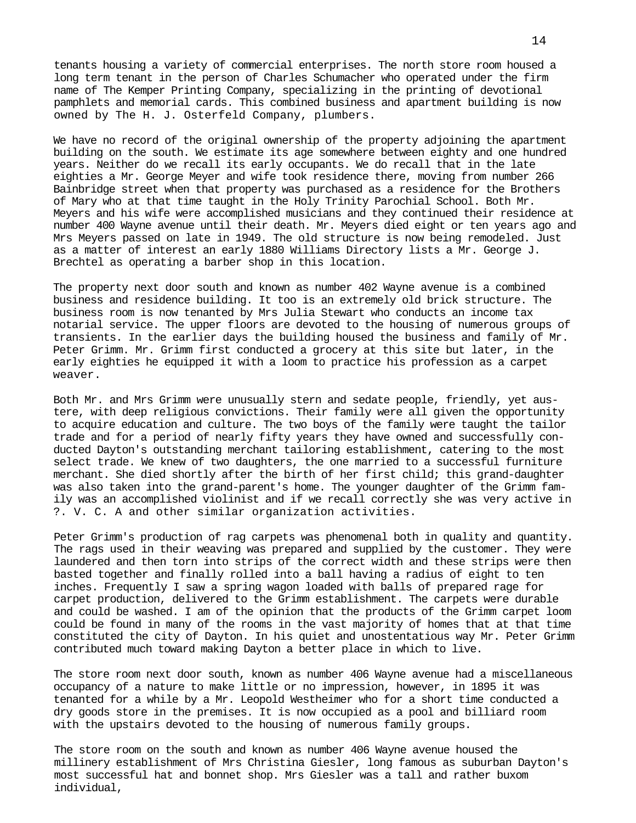tenants housing a variety of commercial enterprises. The north store room housed a long term tenant in the person of Charles Schumacher who operated under the firm name of The Kemper Printing Company, specializing in the printing of devotional pamphlets and memorial cards. This combined business and apartment building is now owned by The H. J. Osterfeld Company, plumbers.

We have no record of the original ownership of the property adjoining the apartment building on the south. We estimate its age somewhere between eighty and one hundred years. Neither do we recall its early occupants. We do recall that in the late eighties a Mr. George Meyer and wife took residence there, moving from number 266 Bainbridge street when that property was purchased as a residence for the Brothers of Mary who at that time taught in the Holy Trinity Parochial School. Both Mr. Meyers and his wife were accomplished musicians and they continued their residence at number 400 Wayne avenue until their death. Mr. Meyers died eight or ten years ago and Mrs Meyers passed on late in 1949. The old structure is now being remodeled. Just as a matter of interest an early 1880 Williams Directory lists a Mr. George J. Brechtel as operating a barber shop in this location.

The property next door south and known as number 402 Wayne avenue is a combined business and residence building. It too is an extremely old brick structure. The business room is now tenanted by Mrs Julia Stewart who conducts an income tax notarial service. The upper floors are devoted to the housing of numerous groups of transients. In the earlier days the building housed the business and family of Mr. Peter Grimm. Mr. Grimm first conducted a grocery at this site but later, in the early eighties he equipped it with a loom to practice his profession as a carpet weaver.

Both Mr. and Mrs Grimm were unusually stern and sedate people, friendly, yet austere, with deep religious convictions. Their family were all given the opportunity to acquire education and culture. The two boys of the family were taught the tailor trade and for a period of nearly fifty years they have owned and successfully conducted Dayton's outstanding merchant tailoring establishment, catering to the most select trade. We knew of two daughters, the one married to a successful furniture merchant. She died shortly after the birth of her first child; this grand-daughter was also taken into the grand-parent's home. The younger daughter of the Grimm family was an accomplished violinist and if we recall correctly she was very active in ?. V. C. A and other similar organization activities.

Peter Grimm's production of rag carpets was phenomenal both in quality and quantity. The rags used in their weaving was prepared and supplied by the customer. They were laundered and then torn into strips of the correct width and these strips were then basted together and finally rolled into a ball having a radius of eight to ten inches. Frequently I saw a spring wagon loaded with balls of prepared rage for carpet production, delivered to the Grimm establishment. The carpets were durable and could be washed. I am of the opinion that the products of the Grimm carpet loom could be found in many of the rooms in the vast majority of homes that at that time constituted the city of Dayton. In his quiet and unostentatious way Mr. Peter Grimm contributed much toward making Dayton a better place in which to live.

The store room next door south, known as number 406 Wayne avenue had a miscellaneous occupancy of a nature to make little or no impression, however, in 1895 it was tenanted for a while by a Mr. Leopold Westheimer who for a short time conducted a dry goods store in the premises. It is now occupied as a pool and billiard room with the upstairs devoted to the housing of numerous family groups.

The store room on the south and known as number 406 Wayne avenue housed the millinery establishment of Mrs Christina Giesler, long famous as suburban Dayton's most successful hat and bonnet shop. Mrs Giesler was a tall and rather buxom individual,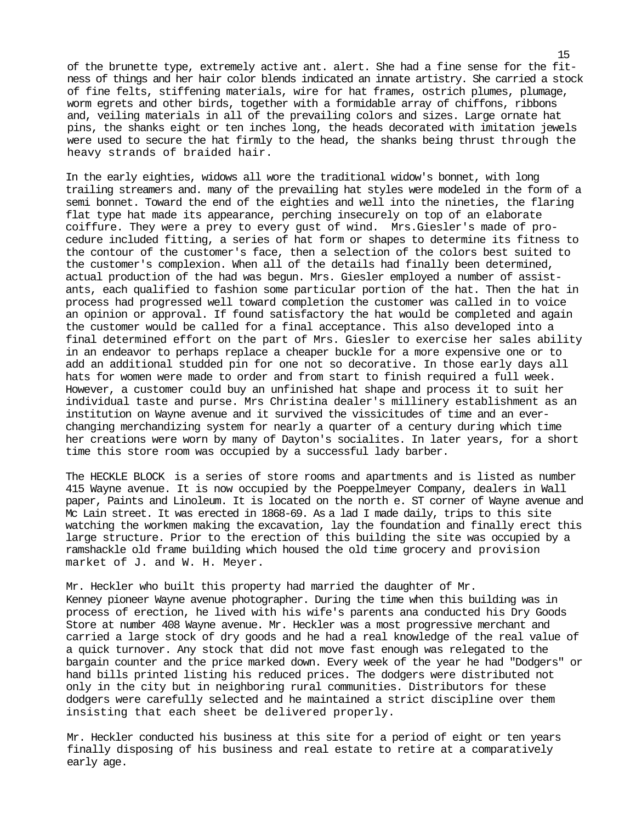of the brunette type, extremely active ant. alert. She had a fine sense for the fitness of things and her hair color blends indicated an innate artistry. She carried a stock of fine felts, stiffening materials, wire for hat frames, ostrich plumes, plumage, worm egrets and other birds, together with a formidable array of chiffons, ribbons and, veiling materials in all of the prevailing colors and sizes. Large ornate hat pins, the shanks eight or ten inches long, the heads decorated with imitation jewels were used to secure the hat firmly to the head, the shanks being thrust through the heavy strands of braided hair.

In the early eighties, widows all wore the traditional widow's bonnet, with long trailing streamers and. many of the prevailing hat styles were modeled in the form of a semi bonnet. Toward the end of the eighties and well into the nineties, the flaring flat type hat made its appearance, perching insecurely on top of an elaborate coiffure. They were a prey to every gust of wind. Mrs.Giesler's made of procedure included fitting, a series of hat form or shapes to determine its fitness to the contour of the customer's face, then a selection of the colors best suited to the customer's complexion. When all of the details had finally been determined, actual production of the had was begun. Mrs. Giesler employed a number of assistants, each qualified to fashion some particular portion of the hat. Then the hat in process had progressed well toward completion the customer was called in to voice an opinion or approval. If found satisfactory the hat would be completed and again the customer would be called for a final acceptance. This also developed into a final determined effort on the part of Mrs. Giesler to exercise her sales ability in an endeavor to perhaps replace a cheaper buckle for a more expensive one or to add an additional studded pin for one not so decorative. In those early days all hats for women were made to order and from start to finish required a full week. However, a customer could buy an unfinished hat shape and process it to suit her individual taste and purse. Mrs Christina dealer's millinery establishment as an institution on Wayne avenue and it survived the vissicitudes of time and an everchanging merchandizing system for nearly a quarter of a century during which time her creations were worn by many of Dayton's socialites. In later years, for a short time this store room was occupied by a successful lady barber.

The HECKLE BLOCK is a series of store rooms and apartments and is listed as number 415 Wayne avenue. It is now occupied by the Poeppelmeyer Company, dealers in Wall paper, Paints and Linoleum. It is located on the north e. ST corner of Wayne avenue and Mc Lain street. It was erected in 1868-69. Asa lad I made daily, trips to this site watching the workmen making theexcavation, lay the foundation and finally erect this large structure. Prior to the erection of this building the site was occupied by a ramshackle old frame building which housed the old time grocery and provision market of J. and W. H. Meyer.

Mr. Heckler who built this property had married the daughter of Mr. Kenney pioneer Wayne avenue photographer. During the time when this building was in process of erection, he lived with his wife's parents ana conducted his Dry Goods Store at number 408 Wayne avenue. Mr. Heckler was a most progressive merchant and carried a large stock of dry goods and he had a real knowledge of the real value of a quick turnover. Any stock that did not move fast enough was relegated to the bargain counter and the price marked down. Every week of the year he had "Dodgers" or hand bills printed listing his reduced prices. The dodgers were distributed not only in the city but in neighboring rural communities. Distributors for these dodgers were carefully selected and he maintained a strict discipline over them insisting that each sheet be delivered properly.

Mr. Heckler conducted his business at this site for a period of eight or ten years finally disposing of his business and real estate to retire at a comparatively early age.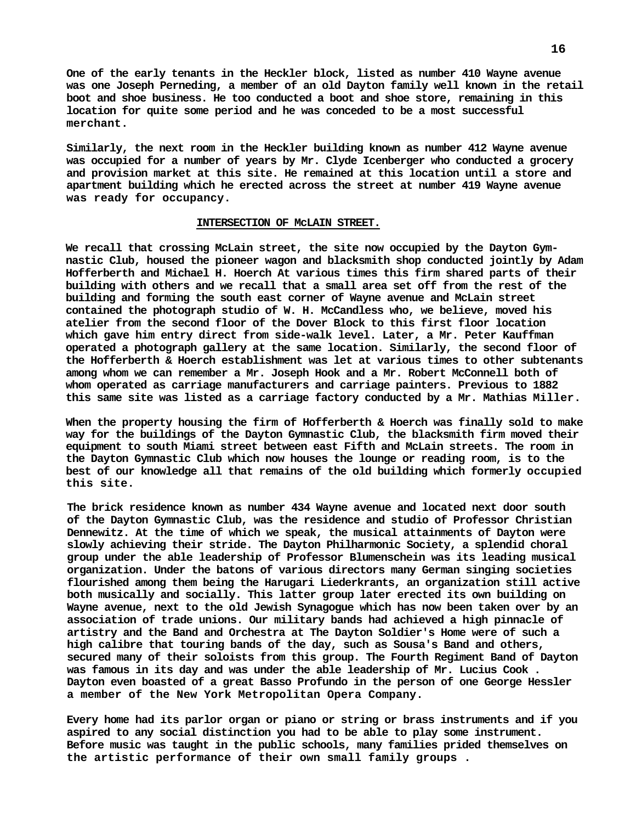**One of the early tenants in the Heckler block, listed as number 410 Wayne avenue was one Joseph Perneding, a member of an old Dayton family well known in the retail boot and shoe business. He too conducted a boot and shoe store, remaining in this location for quite some period and he was conceded to be a most successful merchant.**

**Similarly, the next room in the Heckler building known as number 412 Wayne avenue was occupied for a number of years by Mr. Clyde Icenberger who conducted a grocery and provision market at this site. He remained at this location until a store and apartment building which he erected across the street at number 419 Wayne avenue was ready for occupancy.**

#### **INTERSECTION OF McLAIN STREET.**

**We recall that crossing McLain street, the site now occupied by the Dayton Gymnastic Club, housed the pioneer wagon and blacksmith shop conducted jointly by Adam Hofferberth and Michael H. Hoerch At various times this firm shared parts of their building with others and we recall that a small area set off from the rest of the building and forming the south east corner of Wayne avenue and McLain street contained the photograph studio of W. H. McCandless who, we believe, moved his atelier from the second floor of the Dover Block to this first floor location which gave him entry direct from side-walk level. Later, a Mr. Peter Kauffman operated a photograph gallery at the same location. Similarly, the second floor of the Hofferberth & Hoerch establishment was let at various times to other subtenants among whom we can remember a Mr. Joseph Hook and a Mr. Robert McConnell both of whom operated as carriage manufacturers and carriage painters. Previous to 1882 this same site was listed as a carriage factory conducted by a Mr. Mathias Miller.**

**When the property housing the firm of Hofferberth & Hoerch was finally sold to make way for the buildings of the Dayton Gymnastic Club, the blacksmith firm moved their equipment to south Miami street between east Fifth and McLain streets. The room in the Dayton Gymnastic Club which now houses the lounge or reading room, is to the best of our knowledge all that remains of the old building which formerly occupied this site.**

**The brick residence known as number 434 Wayne avenue and located next door south of the Dayton Gymnastic Club, was the residence and studio of Professor Christian Dennewitz. At the time of which we speak, the musical attainments of Dayton were slowly achieving their stride. The Dayton Philharmonic Society, a splendid choral group under the able leadership of Professor Blumenschein was its leading musical organization. Under the batons of various directors many German singing societies flourished among them being the Harugari Liederkrants, an organization still active both musically and socially. This latter group later erected its own building on Wayne avenue, next to the old Jewish Synagogue which has now been taken over by an association of trade unions. Our military bands had achieved a high pinnacle of artistry and the Band and Orchestra at The Dayton Soldier's Home were of such a high calibre that touring bands of the day, such as Sousa's Band and others, secured many of their soloists from this group. The Fourth Regiment Band of Dayton was famous in its day and was under the able leadership of Mr. Lucius Cook . Dayton even boasted of a great Basso Profundo in the person of one George Hessler a member of the New York Metropolitan Opera Company.**

**Every home had its parlor organ or piano or string or brass instruments and if you aspired to any social distinction you had to be able to play some instrument. Before music was taught in the public schools, many families prided themselves on the artistic performance of their own small family groups .**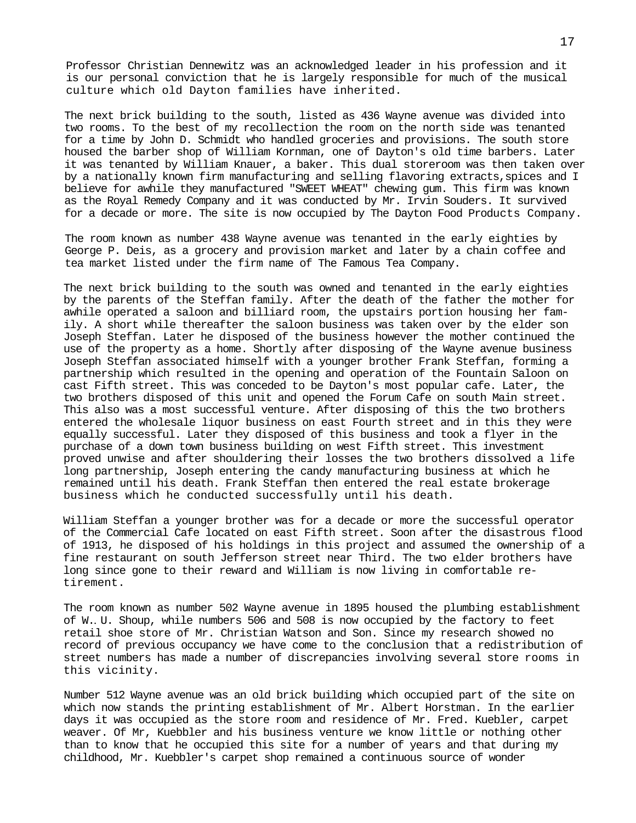Professor Christian Dennewitz was an acknowledged leader in his profession and it is our personal conviction that he is largely responsible for much of the musical culture which old Dayton families have inherited.

The next brick building to the south, listed as 436 Wayne avenue was divided into two rooms. To the best of my recollection the room on the north side was tenanted for a time by John D. Schmidt who handled groceries and provisions. The south store housed the barber shop of William Kornman, one of Dayton's old time barbers. Later it was tenanted by William Knauer, a baker. This dual storeroom was then taken over by a nationally known firm manufacturing and selling flavoring extracts, spices and I believe for awhile they manufactured "SWEET WHEAT" chewing gum. This firm was known as the Royal Remedy Company and it was conducted by Mr. Irvin Souders. It survived for a decade or more. The site is now occupied by The Dayton Food Products Company.

The room known as number 438 Wayne avenue was tenanted in the early eighties by George P. Deis, as a grocery and provision market and later by a chain coffee and tea market listed under the firm name of The Famous Tea Company.

The next brick building to the south was owned and tenanted in the early eighties by the parents of the Steffan family. After the death of the father the mother for awhile operated a saloon and billiard room, the upstairs portion housing her family. A short while thereafter the saloon business was taken over by the elder son Joseph Steffan. Later he disposed of the business however the mother continued the use of the property as a home. Shortly after disposing of the Wayne avenue business Joseph Steffan associated himself with a younger brother Frank Steffan, forming a partnership which resulted in the opening and operation of the Fountain Saloon on cast Fifth street. This was conceded to be Dayton's most popular cafe. Later, the two brothers disposed of this unit and opened the Forum Cafe on south Main street. This also was a most successful venture. After disposing of this the two brothers entered the wholesale liquor business on east Fourth street and in this they were equally successful. Later they disposed of this business and took a flyer in the purchase of a down town business building on west Fifth street. This investment proved unwise and after shouldering their losses the two brothers dissolved a life long partnership, Joseph entering the candy manufacturing business at which he remained until his death. Frank Steffan then entered the real estate brokerage business which he conducted successfully until his death.

William Steffan a younger brother was for a decade or more the successful operator of the Commercial Cafe located on east Fifth street. Soon after the disastrous flood of 1913, he disposed of his holdings in this project and assumed the ownership of a fine restaurant on south Jefferson street near Third. The two elder brothers have long since gone to their reward and William is now living in comfortable retirement.

The room known as number 502 Wayne avenue in 1895 housed the plumbing establishment of W.*.* U. Shoup, while numbers 506 and 508 is now occupied by the factory to feet retail shoe store of Mr. Christian Watson and Son. Since my research showed no record of previous occupancy we have come to the conclusion that a redistribution of street numbers has made a number of discrepancies involving several store rooms in this vicinity.

Number 512 Wayne avenue was an old brick building which occupied part of the site on which now stands the printing establishment of Mr. Albert Horstman. In the earlier days it was occupied as the store room and residence of Mr. Fred. Kuebler, carpet weaver. Of Mr, Kuebbler and his business venture we know little or nothing other than to know that he occupied this site for a number of years and that during my childhood, Mr. Kuebbler's carpet shop remained a continuous source of wonder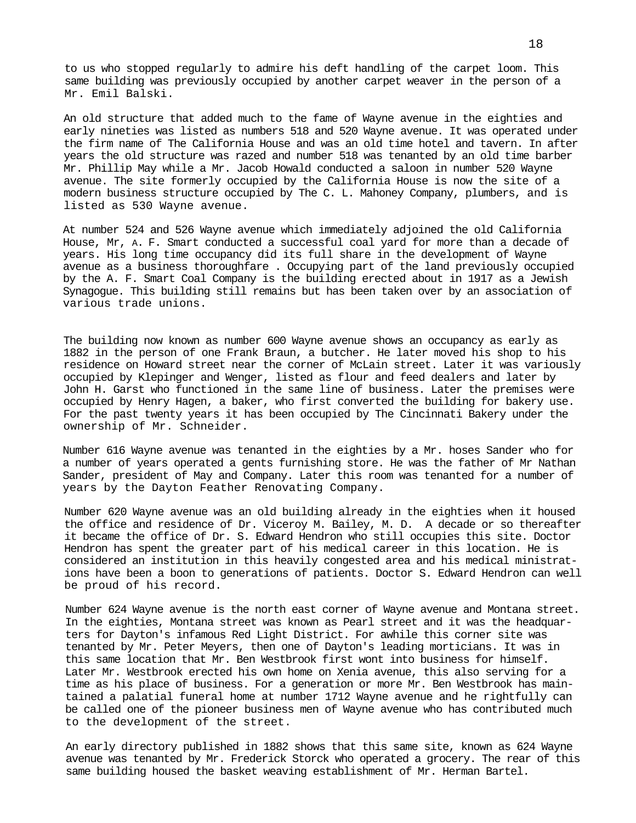to us who stopped regularly to admire his deft handling of the carpet loom. This same building was previously occupied by another carpet weaver in the person of a Mr. Emil Balski.

An old structure that added much to the fame of Wayne avenue in the eighties and early nineties was listed as numbers 518 and 520 Wayne avenue. It was operated under the firm name of The California House and was an old time hotel and tavern. In after years the old structure was razed and number 518 was tenanted by an old time barber Mr. Phillip May while a Mr. Jacob Howald conducted a saloon in number 520 Wayne avenue. The site formerly occupied by the California House is now the site of a modern business structure occupied by The C. L. Mahoney Company, plumbers, and is listed as 530 Wayne avenue.

At number 524 and 526 Wayne avenue which immediately adjoined the old California House, Mr, A. F. Smart conducted a successful coal yard for more than a decade of years. His long time occupancy did its full share in the development of Wayne avenue as a business thoroughfare . Occupying part of the land previously occupied by the A. F. Smart Coal Company is the building erected about in 1917 as a Jewish Synagogue. This building still remains but has been taken over by an association of various trade unions.

The building now known as number 600 Wayne avenue shows an occupancy as early as 1882 in the person of one Frank Braun, a butcher. He later moved his shop to his residence on Howard street near the corner of McLain street. Later it was variously occupied by Klepinger and Wenger, listed as flour and feed dealers and later by John H. Garst who functioned in the same line of business. Later the premises were occupied by Henry Hagen, a baker, who first converted the building for bakery use. For the past twenty years it has been occupied by The Cincinnati Bakery under the ownership of Mr. Schneider.

Number 616 Wayne avenue was tenanted in the eighties by a Mr. hoses Sander who for a number of years operated a gents furnishing store. He was the father of Mr Nathan Sander, president of May and Company. Later this room was tenanted for a number of years by the Dayton Feather Renovating Company.

Number 620 Wayne avenue was an old building already in the eighties when it housed the office and residence of Dr. Viceroy M. Bailey, M. D. A decade or so thereafter it became the office of Dr. S. Edward Hendron who still occupies this site. Doctor Hendron has spent the greater part of his medical career in this location. He is considered an institution in this heavily congested area and his medical ministrations have been a boon to generations of patients. Doctor S. Edward Hendron can well be proud of his record.

Number 624 Wayne avenue is the north east corner of Wayne avenue and Montana street. In the eighties, Montana street was known as Pearl street and it was the headquarters for Dayton's infamous Red Light District. For awhile this corner site was tenanted by Mr. Peter Meyers, then one of Dayton's leading morticians. It was in this same location that Mr. Ben Westbrook first wont into business for himself. Later Mr. Westbrook erected his own home on Xenia avenue, this also serving for a time as his place of business. For a generation or more Mr. Ben Westbrook has maintained a palatial funeral home at number 1712 Wayne avenue and he rightfully can be called one of the pioneer business men of Wayne avenue who has contributed much to the development of the street.

An early directory published in 1882 shows that this same site, known as 624 Wayne avenue was tenanted by Mr. Frederick Storck who operated a grocery. The rear of this same building housed the basket weaving establishment of Mr. Herman Bartel.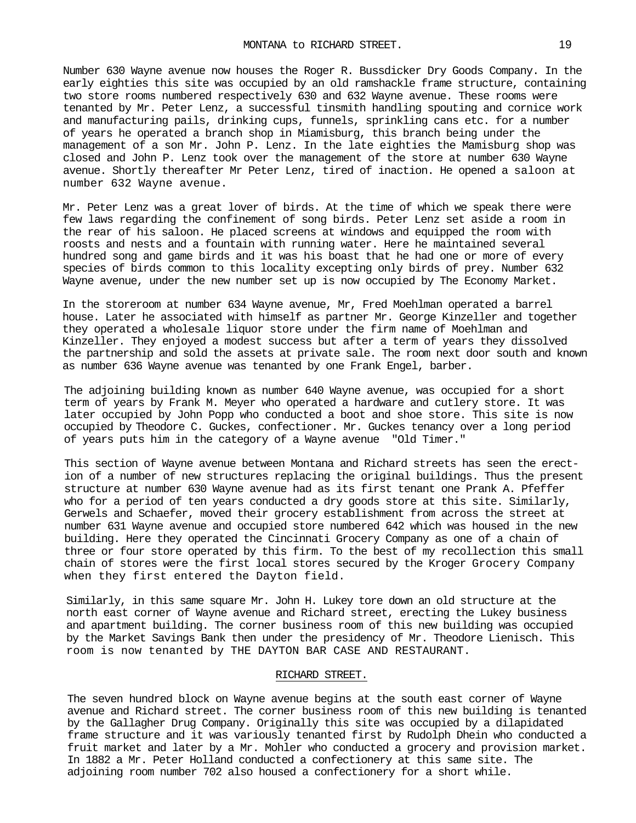Number 630 Wayne avenue now houses the Roger R. Bussdicker Dry Goods Company. In the early eighties this site was occupied by an old ramshackle frame structure, containing two store rooms numbered respectively 630 and 632 Wayne avenue. These rooms were tenanted by Mr. Peter Lenz, a successful tinsmith handling spouting and cornice work and manufacturing pails, drinking cups, funnels, sprinkling cans etc. for a number of years he operated a branch shop in Miamisburg, this branch being under the management of a son Mr. John P. Lenz. In the late eighties the Mamisburg shop was closed and John P. Lenz took over the management of the store at number 630 Wayne avenue. Shortly thereafter Mr Peter Lenz, tired of inaction. He opened a saloon at number 632 Wayne avenue.

Mr. Peter Lenz was a great lover of birds. At the time of which we speak there were few laws regarding the confinement of song birds. Peter Lenz set aside a room in the rear of his saloon. He placed screens at windows and equipped the room with roosts and nests and a fountain with running water. Here he maintained several hundred song and game birds and it was his boast that he had one or more of every species of birds common to this locality excepting only birds of prey. Number 632 Wayne avenue, under the new number set up is now occupied by The Economy Market.

In the storeroom at number 634 Wayne avenue, Mr, Fred Moehlman operated a barrel house. Later he associated with himself as partner Mr. George Kinzeller and together they operated a wholesale liquor store under the firm name of Moehlman and Kinzeller. They enjoyed a modest success but after a term of years they dissolved the partnership and sold the assets at private sale. The room next door south and known as number 636 Wayne avenue was tenanted by one Frank Engel, barber.

The adjoining building known as number 640 Wayne avenue, was occupied for a short term of years by Frank M. Meyer who operated a hardware and cutlery store. It was later occupied by John Popp who conducted a boot and shoe store. This site is now occupied byTheodore C. Guckes, confectioner. Mr. Guckes tenancy over a long period of years puts him in the category of a Wayne avenue "Old Timer."

This section of Wayne avenue between Montana and Richard streets has seen the erection of a number of new structures replacing the original buildings. Thus the present structure at number 630 Wayne avenue had as its first tenant one Prank A. Pfeffer who for a period of ten years conducted a dry goods store at this site. Similarly, Gerwels and Schaefer, moved their grocery establishment from across the street at number 631 Wayne avenue and occupied store numbered 642 which was housed in the new building. Here they operated the Cincinnati Grocery Company as one of a chain of three or four store operated by this firm. To the best of my recollection this small chain of stores were the first local stores secured by the Kroger Grocery Company when they first entered the Dayton field.

Similarly, in this same square Mr. John H. Lukey tore down an old structure at the north east corner of Wayne avenue and Richard street, erecting the Lukey business and apartment building. The corner business room of this new building was occupied by the Market Savings Bank then under the presidency of Mr. Theodore Lienisch. This room is now tenanted by THE DAYTON BAR CASE AND RESTAURANT.

## RICHARD STREET.

The seven hundred block on Wayne avenue begins at the south east corner of Wayne avenue and Richard street. The corner business room of this new building is tenanted by the Gallagher Drug Company. Originally this site was occupied by a dilapidated frame structure and it was variously tenanted first by Rudolph Dhein who conducted a fruit market and later by a Mr. Mohler who conducted a grocery and provision market. In 1882 a Mr. Peter Holland conducted a confectionery at this same site. The adjoining room number 702 also housed a confectionery for a short while.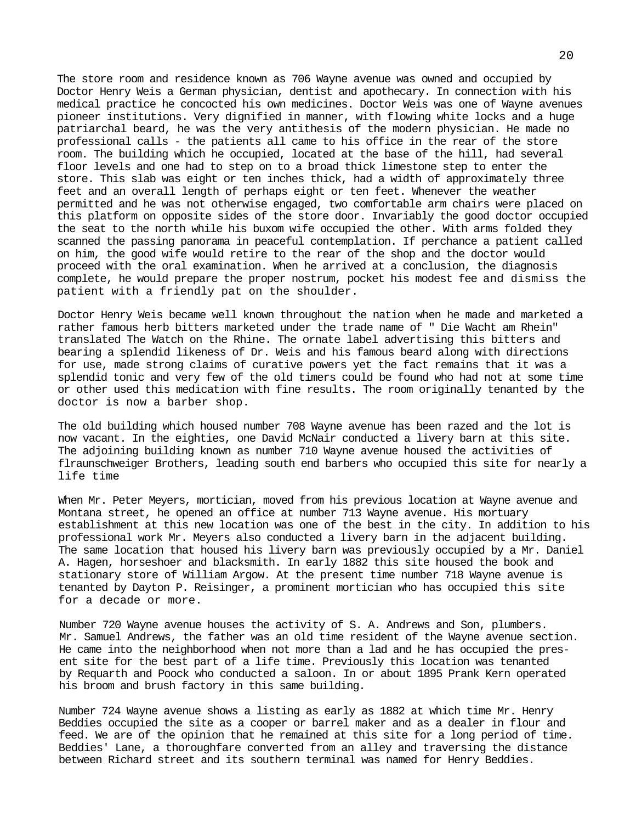The store room and residence known as 706 Wayne avenue was owned and occupied by Doctor Henry Weis a German physician, dentist and apothecary. In connection with his medical practice he concocted his own medicines. Doctor Weis was one of Wayne avenues pioneer institutions. Very dignified in manner, with flowing white locks and a huge patriarchal beard, he was the very antithesis of the modern physician. He made no professional calls - the patients all came to his office in the rear of the store room. The building which he occupied, located at the base of the hill, had several floor levels and one had to step on to a broad thick limestone step to enter the store. This slab was eight or ten inches thick, had a width of approximately three feet and an overall length of perhaps eight or ten feet. Whenever the weather permitted and he was not otherwise engaged, two comfortable arm chairs were placed on this platform on opposite sides of the store door. Invariably the good doctor occupied the seat to the north while his buxom wife occupied the other. With arms folded they scanned the passing panorama in peaceful contemplation. If perchance a patient called on him, the good wife would retire to the rear of the shop and the doctor would proceed with the oral examination. When he arrived at a conclusion, the diagnosis complete, he would prepare the proper nostrum, pocket his modest fee and dismiss the patient with a friendly pat on the shoulder.

Doctor Henry Weis became well known throughout the nation when he made and marketed a rather famous herb bitters marketed under the trade name of " Die Wacht am Rhein" translated The Watch on the Rhine. The ornate label advertising this bitters and bearing a splendid likeness of Dr. Weis and his famous beard along with directions for use, made strong claims of curative powers yet the fact remains that it was a splendid tonic and very few of the old timers could be found who had not at some time or other used this medication with fine results. The room originally tenanted by the doctor is now a barber shop.

The old building which housed number 708 Wayne avenue has been razed and the lot is now vacant. In the eighties, one David McNair conducted a livery barn at this site. The adjoining building known as number 710 Wayne avenue housed the activities of flraunschweiger Brothers, leading south end barbers who occupied this site for nearly a life time

When Mr. Peter Meyers, mortician, moved from his previous location at Wayne avenue and Montana street, he opened an office at number 713 Wayne avenue. His mortuary establishment at this new location was one of the best in the city. In addition to his professional work Mr. Meyers also conducted a livery barn in the adjacent building. The same location that housed his livery barn was previously occupied by a Mr. Daniel A. Hagen, horseshoer and blacksmith. In early 1882 this site housed the book and stationary store of William Argow. At the present time number 718 Wayne avenue is tenanted by Dayton P. Reisinger, a prominent mortician who has occupied this site for a decade or more.

Number 720 Wayne avenue houses the activity of S. A. Andrews and Son, plumbers. Mr. Samuel Andrews, the father was an old time resident of the Wayne avenue section. He came into the neighborhood when not more than a lad and he has occupied the present site for the best part of a life time. Previously this location was tenanted by Requarth and Poock who conducted a saloon. In or about 1895 Prank Kern operated his broom and brush factory in this same building.

Number 724 Wayne avenue shows a listing as early as 1882 at which time Mr. Henry Beddies occupied the site as a cooper or barrel maker and as a dealer in flour and feed. We are of the opinion that he remained at this site for a long period of time. Beddies' Lane, a thoroughfare converted from an alley and traversing the distance between Richard street and its southern terminal was named for Henry Beddies.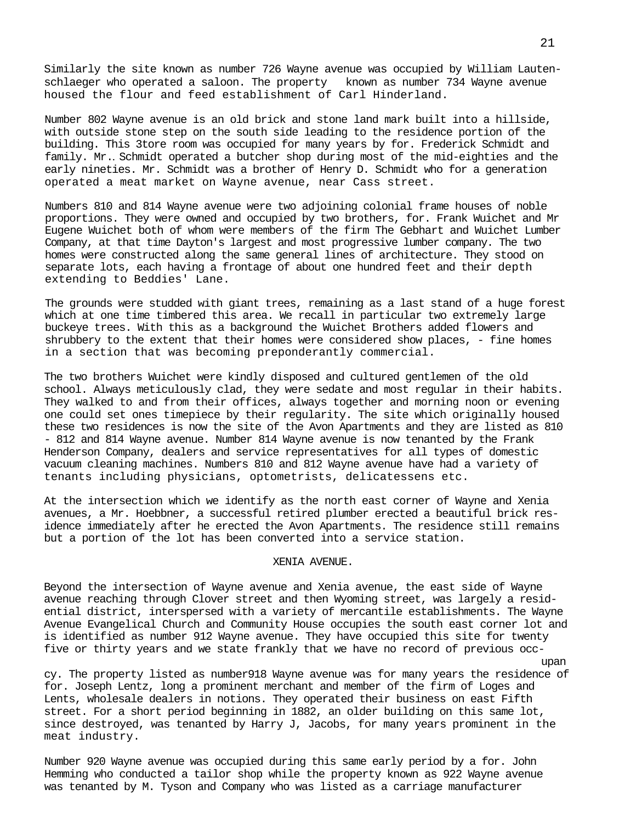Similarly the site known as number 726 Wayne avenue was occupied by William Lautenschlaeger who operated a saloon. The property known as number 734 Wayne avenue housed the flour and feed establishment of Carl Hinderland.

Number 802 Wayne avenue is an old brick and stone land mark built into a hillside, with outside stone step on the south side leading to the residence portion of the building. This 3tore room was occupied for many years by for. Frederick Schmidt and family. Mr.*.* Schmidt operated a butcher shop during most of the mid-eighties and the early nineties. Mr. Schmidt was a brother of Henry D. Schmidt who for a generation operated a meat market on Wayne avenue, near Cass street.

Numbers 810 and 814 Wayne avenue were two adjoining colonial frame houses of noble proportions. They were owned and occupied by two brothers, for. Frank Wuichet and Mr Eugene Wuichet both of whom were members of the firm The Gebhart and Wuichet Lumber Company, at that time Dayton's largest and most progressive lumber company. The two homes were constructed along the same general lines of architecture. They stood on separate lots, each having a frontage of about one hundred feet and their depth extending to Beddies' Lane.

The grounds were studded with giant trees, remaining as a last stand of a huge forest which at one time timbered this area. We recall in particular two extremely large buckeye trees. With this as a background the Wuichet Brothers added flowers and shrubbery to the extent that their homes were considered show places, - fine homes in a section that was becoming preponderantly commercial.

The two brothers Wuichet were kindly disposed and cultured gentlemen of the old school. Always meticulously clad, they were sedate and most regular in their habits. They walked to and from their offices, always together and morning noon or evening one could set ones timepiece by their regularity. The site which originally housed these two residences is now the site of the Avon Apartments and they are listed as 810 - 812 and 814 Wayne avenue. Number 814 Wayne avenue is now tenanted by the Frank Henderson Company, dealers and service representatives for all types of domestic vacuum cleaning machines. Numbers 810 and 812 Wayne avenue have had a variety of tenants including physicians, optometrists, delicatessens etc.

At the intersection which we identify as the north east corner of Wayne and Xenia avenues, a Mr. Hoebbner, a successful retired plumber erected a beautiful brick residence immediately after he erected the Avon Apartments. The residence still remains but a portion of the lot has been converted into a service station.

#### XENIA AVENUE.

Beyond the intersection of Wayne avenue and Xenia avenue, the east side of Wayne avenue reaching through Clover street and then Wyoming street, was largely a residential district, interspersed with a variety of mercantile establishments. The Wayne Avenue Evangelical Church and Community House occupies the south east corner lot and is identified as number 912 Wayne avenue. They have occupied this site for twenty five or thirty years and we state frankly that we have no record of previous occ-

upan cy. The property listed as number918 Wayne avenue was for many years the residence of for. Joseph Lentz, long a prominent merchant and member of the firm of Loges and Lents, wholesale dealers in notions. They operated their business on east Fifth street. For a short period beginning in 1882, an older building on this same lot, since destroyed, was tenanted by Harry J, Jacobs, for many years prominent in the meat industry.

Number 920 Wayne avenue was occupied during this same early period by a for. John Hemming who conducted a tailor shop while the property known as 922 Wayne avenue was tenanted by M. Tyson and Company who was listed as a carriage manufacturer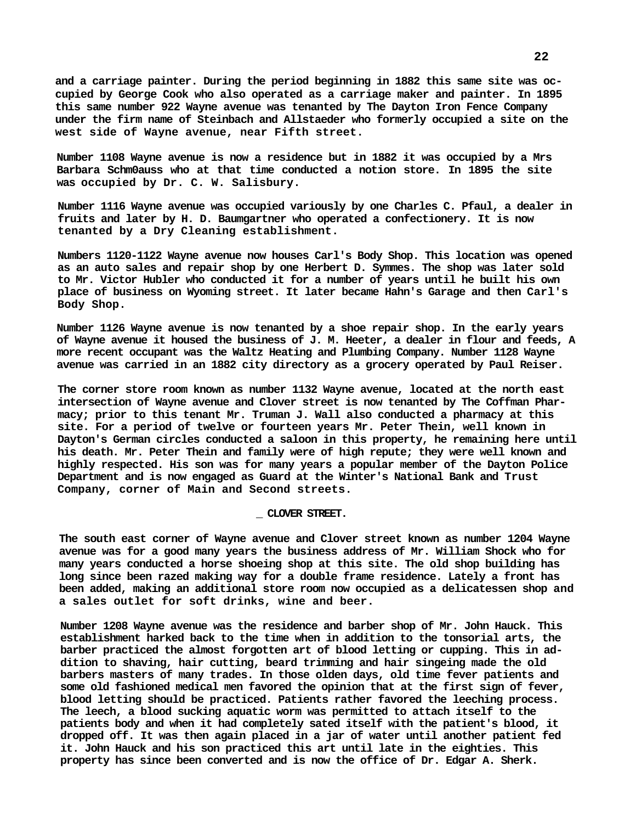**and a carriage painter. During the period beginning in 1882 this same site was occupied by George Cook who also operated as a carriage maker and painter. In 1895 this same number 922 Wayne avenue was tenanted by The Dayton Iron Fence Company under the firm name of Steinbach and Allstaeder who formerly occupied a site on the west side of Wayne avenue, near Fifth street.**

**Number 1108 Wayne avenue is now a residence but in 1882 it was occupied by a Mrs Barbara Schm0auss who at that time conducted a notion store. In 1895 the site was occupied by Dr. C. W. Salisbury.**

**Number 1116 Wayne avenue was occupied variously by one Charles C. Pfaul, a dealer in fruits and later by H. D. Baumgartner who operated a confectionery. It is now tenanted by a Dry Cleaning establishment.**

**Numbers 1120-1122 Wayne avenue now houses Carl's Body Shop. This location was opened as an auto sales and repair shop by one Herbert D. Symmes. The shop was later sold to Mr. Victor Hubler who conducted it for a number of years until he built his own place of business on Wyoming street. It later became Hahn's Garage and then Carl's Body Shop.**

**Number 1126 Wayne avenue is now tenanted by a shoe repair shop. In the early years of Wayne avenue it housed the business of J. M. Heeter, a dealer in flour and feeds, A more recent occupant was the Waltz Heating and Plumbing Company. Number 1128 Wayne avenue was carried in an 1882 city directory as a grocery operated by Paul Reiser.**

**The corner store room known as number 1132 Wayne avenue, located at the north east intersection of Wayne avenue and Clover street is now tenanted by The Coffman Pharmacy; prior to this tenant Mr. Truman J. Wall also conducted a pharmacy at this site. For a period of twelve or fourteen years Mr. Peter Thein, well known in Dayton's German circles conducted a saloon in this property, he remaining here until his death. Mr. Peter Thein and family were of high repute; they were well known and highly respected. His son was for many years a popular member of the Dayton Police Department and is now engaged as Guard at the Winter's National Bank and Trust Company, corner of Main and Second streets.**

#### **\_ CLOVER STREET.**

**The south east corner of Wayne avenue and Clover street known as number 1204 Wayne avenue was for a good many years the business address of Mr. William Shock who for many years conducted a horse shoeing shop at this site. The old shop building has long since been razed making way for a double frame residence. Lately a front has been added, making an additional store room now occupied as a delicatessen shop and a sales outlet for soft drinks, wine and beer.**

**Number 1208 Wayne avenue was the residence and barber shop of Mr. John Hauck. This establishment harked back to the time when in addition to the tonsorial arts, the barber practiced the almost forgotten art of blood letting or cupping. This in addition to shaving, hair cutting, beard trimming and hair singeing made the old barbers masters of many trades. In those olden days, old time fever patients and some old fashioned medical men favored the opinion that at the first sign of fever, blood letting should be practiced. Patients rather favored the leeching process. The leech, a blood sucking aquatic worm was permitted to attach itself to the patients body and when it had completely sated itself with the patient's blood, it dropped off. It was then again placed in a jar of water until another patient fed it. John Hauck and his son practiced this art until late in the eighties. This property has since been converted and is now the office of Dr. Edgar A. Sherk.**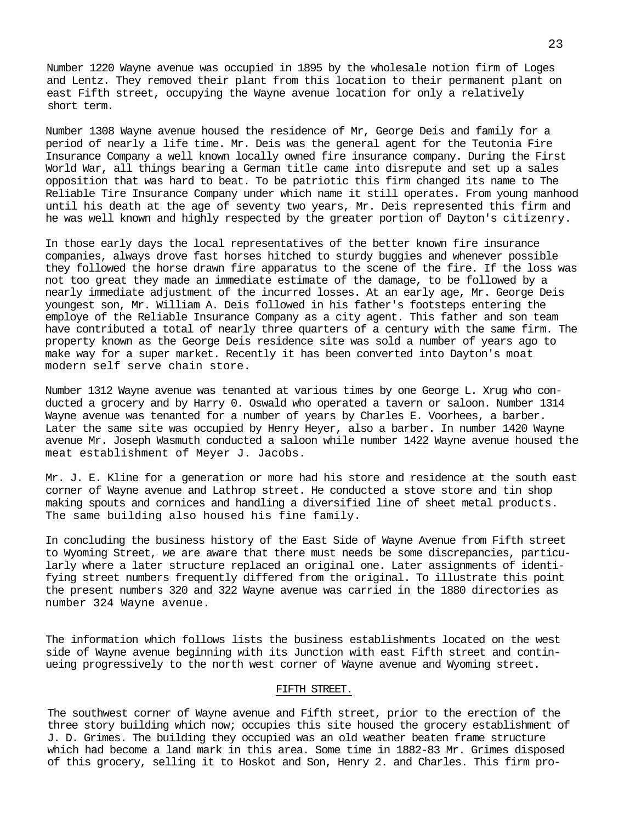Number 1220 Wayne avenue was occupied in 1895 by the wholesale notion firm of Loges and Lentz. They removed their plant from this location to their permanent plant on east Fifth street, occupying the Wayne avenue location for only a relatively short term.

Number 1308 Wayne avenue housed the residence of Mr, George Deis and family for a period of nearly a life time. Mr. Deis was the general agent for the Teutonia Fire Insurance Company a well known locally owned fire insurance company. During the First World War, all things bearing a German title came into disrepute and set up a sales opposition that was hard to beat. To be patriotic this firm changed its name to The Reliable Tire Insurance Company under which name it still operates. From young manhood until his death at the age of seventy two years, Mr. Deis represented this firm and he was well known and highly respected by the greater portion of Dayton's citizenry.

In those early days the local representatives of the better known fire insurance companies, always drove fast horses hitched to sturdy buggies and whenever possible they followed the horse drawn fire apparatus to the scene of the fire. If the loss was not too great they made an immediate estimate of the damage, to be followed by a nearly immediate adjustment of the incurred losses. At an early age, Mr. George Deis youngest son, Mr. William A. Deis followed in his father's footsteps entering the employe of the Reliable Insurance Company as a city agent. This father and son team have contributed a total of nearly three quarters of a century with the same firm. The property known as the George Deis residence site was sold a number of years ago to make way for a super market. Recently it has been converted into Dayton's moat modern self serve chain store.

Number 1312 Wayne avenue was tenanted at various times by one George L. Xrug who conducted a grocery and by Harry 0. Oswald who operated a tavern or saloon. Number 1314 Wayne avenue was tenanted for a number of years by Charles E. Voorhees, a barber. Later the same site was occupied by Henry Heyer, also a barber. In number 1420 Wayne avenue Mr. Joseph Wasmuth conducted a saloon while number 1422 Wayne avenue housed the meat establishment of Meyer J. Jacobs.

Mr. J. E. Kline for a generation or more had his store and residence at the south east corner of Wayne avenue and Lathrop street. He conducted a stove store and tin shop making spouts and cornices and handling a diversified line of sheet metal products. The same building also housed his fine family.

In concluding the business history of the East Side of Wayne Avenue from Fifth street to Wyoming Street, we are aware that there must needs be some discrepancies, particularly where a later structure replaced an original one. Later assignments of identifying street numbers frequently differed from the original. To illustrate this point the present numbers 320 and 322 Wayne avenue was carried in the 1880 directories as number 324 Wayne avenue.

The information which follows lists the business establishments located on the west side of Wayne avenue beginning with its Junction with east Fifth street and continueing progressively to the north west corner of Wayne avenue and Wyoming street.

# FIFTH STREET.

The southwest corner of Wayne avenue and Fifth street, prior to the erection of the three story building which now; occupies this site housed the grocery establishment of J. D. Grimes. The building they occupied was an old weather beaten frame structure which had become a land mark in this area. Some time in 1882-83 Mr. Grimes disposed of this grocery, selling it to Hoskot and Son, Henry 2. and Charles. This firm pro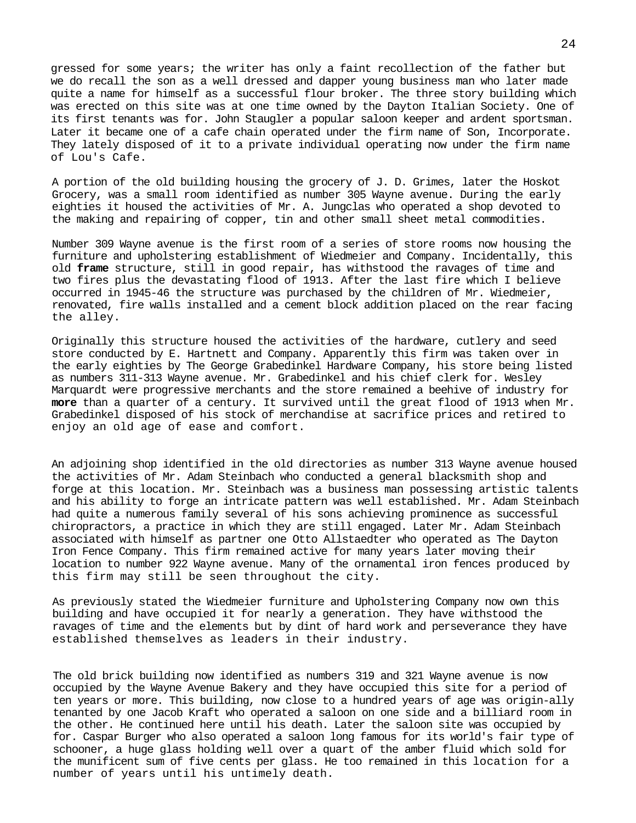gressed for some years; the writer has only a faint recollection of the father but we do recall the son as a well dressed and dapper young business man who later made quite a name for himself as a successful flour broker. The three story building which was erected on this site was at one time owned by the Dayton Italian Society. One of its first tenants was for. John Staugler a popular saloon keeper and ardent sportsman. Later it became one of a cafe chain operated under the firm name of Son, Incorporate. They lately disposed of it to a private individual operating now under the firm name of Lou's Cafe.

A portion of the old building housing the grocery of J. D. Grimes, later the Hoskot Grocery, was a small room identified as number 305 Wayne avenue. During the early eighties it housed the activities of Mr. A. Jungclas who operated a shop devoted to the making and repairing of copper, tin and other small sheet metal commodities.

Number 309 Wayne avenue is the first room of a series of store rooms now housing the furniture and upholstering establishment of Wiedmeier and Company. Incidentally, this old **frame** structure, still in good repair, has withstood the ravages of time and two fires plus the devastating flood of 1913. After the last fire which I believe occurred in 1945-46 the structure was purchased by the children of Mr. Wiedmeier, renovated, fire walls installed and a cement block addition placed on the rear facing the alley.

Originally this structure housed the activities of the hardware, cutlery and seed store conducted by E. Hartnett and Company. Apparently this firm was taken over in the early eighties by The George Grabedinkel Hardware Company, his store being listed as numbers 311-313 Wayne avenue. Mr. Grabedinkel and his chief clerk for. Wesley Marquardt were progressive merchants and the store remained a beehive of industry for **more** than a quarter of a century. It survived until the great flood of 1913 when Mr. Grabedinkel disposed of his stock of merchandise at sacrifice prices and retired to enjoy an old age of ease and comfort.

An adjoining shop identified in the old directories as number 313 Wayne avenue housed the activities of Mr. Adam Steinbach who conducted a general blacksmith shop and forge at this location. Mr. Steinbach was a business man possessing artistic talents and his ability to forge an intricate pattern was well established. Mr. Adam Steinbach had quite a numerous family several of his sons achieving prominence as successful chiropractors, a practice in which they are still engaged. Later Mr. Adam Steinbach associated with himself as partner one Otto Allstaedter who operated as The Dayton Iron Fence Company. This firm remained active for many years later moving their location to number 922 Wayne avenue. Many of the ornamental iron fences produced by this firm may still be seen throughout the city.

As previously stated the Wiedmeier furniture and Upholstering Company now own this building and have occupied it for nearly a generation. They have withstood the ravages of time and the elements but by dint of hard work and perseverance they have established themselves as leaders in their industry.

The old brick building now identified as numbers 319 and 321 Wayne avenue is now occupied by the Wayne Avenue Bakery and they have occupied this site for a period of ten years or more. This building, now close to a hundred years of age was origin-ally tenanted by one Jacob Kraft who operated a saloon on one side and a billiard room in the other. He continued here until his death. Later the saloon site was occupied by for. Caspar Burger who also operated a saloon long famous for its world's fair type of schooner, a huge glass holding well over a quart of the amber fluid which sold for the munificent sum of five cents per glass. He too remained in this location for a number of years until his untimely death.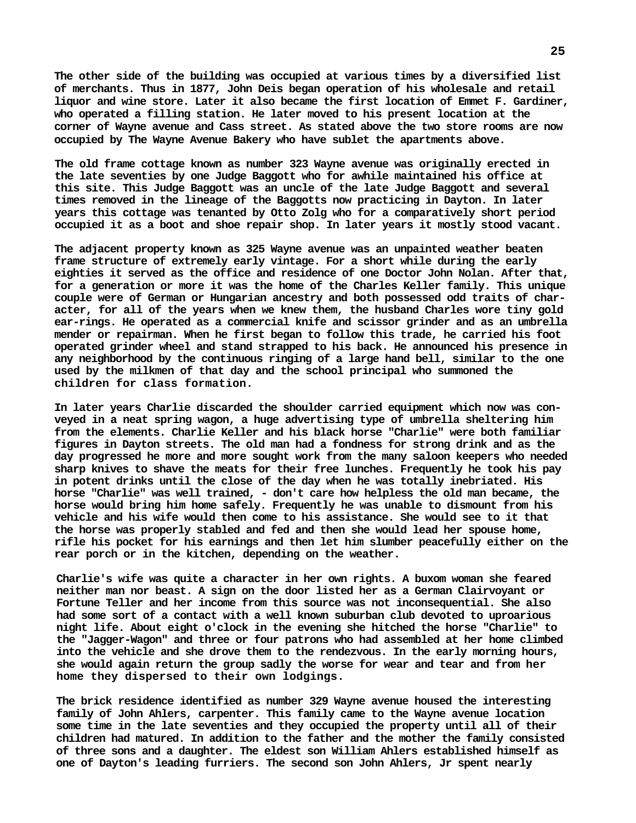**The other side of the building was occupied at various times by a diversified list of merchants. Thus in 1877, John Deis began operation of his wholesale and retail liquor and wine store. Later it also became the first location of Emmet F. Gardiner, who operated a filling station. He later moved to his present location at the corner of Wayne avenue and Cass street. As stated above the two store rooms are now occupied by The Wayne Avenue Bakery who have sublet the apartments above.**

**The old frame cottage known as number 323 Wayne avenue was originally erected in the late seventies by one Judge Baggott who for awhile maintained his office at this site. This Judge Baggott was an uncle of the late Judge Baggott and several times removed in the lineage of the Baggotts now practicing in Dayton. In later years this cottage was tenanted by Otto Zolg who for a comparatively short period occupied it as a boot and shoe repair shop. In later years it mostly stood vacant.**

**The adjacent property known as 325 Wayne avenue was an unpainted weather beaten frame structure of extremely early vintage. For a short while during the early eighties it served as the office and residence of one Doctor John Nolan. After that, for a generation or more it was the home of the Charles Keller family. This unique couple were of German or Hungarian ancestry and both possessed odd traits of character, for all of the years when we knew them, the husband Charles wore tiny gold ear-rings. He operated as a commercial knife and scissor grinder and as an umbrella mender or repairman. When he first began to follow this trade, he carried his foot operated grinder wheel and stand strapped to his back. He announced his presence in any neighborhood by the continuous ringing of a large hand bell, similar to the one used by the milkmen of that day and the school principal who summoned the children for class formation.**

**In later years Charlie discarded the shoulder carried equipment which now was conveyed in a neat spring wagon, a huge advertising type of umbrella sheltering him from the elements. Charlie Keller and his black horse "Charlie" were both familiar figures in Dayton streets. The old man had a fondness for strong drink and as the day progressed he more and more sought work from the many saloon keepers who needed sharp knives to shave the meats for their free lunches. Frequently he took his pay in potent drinks until the close of the day when he was totally inebriated. His horse "Charlie" was well trained, - don't care how helpless the old man became, the horse would bring him home safely. Frequently he was unable to dismount from his vehicle and his wife would then come to his assistance. She would see to it that the horse was properly stabled and fed and then she would lead her spouse home, rifle his pocket for his earnings and then let him slumber peacefully either on the rear porch or in the kitchen, depending on the weather.**

**Charlie's wife was quite a character in her own rights. A buxom woman she feared neither man nor beast. A sign on the door listed her as a German Clairvoyant or Fortune Teller and her income from this source was not inconsequential. She also had some sort of a contact with a well known suburban club devoted to uproarious night life. About eight o'clock in the evening she hitched the horse "Charlie" to the "Jagger-Wagon" and three or four patrons who had assembled at her home climbed into the vehicle and she drove them to the rendezvous. In the early morning hours, she would again return the group sadly the worse for wear and tear and from her home they dispersed to their own lodgings.**

**The brick residence identified as number 329 Wayne avenue housed the interesting family of John Ahlers, carpenter. This family came to the Wayne avenue location some time in the late seventies and they occupied the property until all of their children had matured. In addition to the father and the mother the family consisted of three sons and a daughter. The eldest son William Ahlers established himself as one of Dayton's leading furriers. The second son John Ahlers, Jr spent nearly**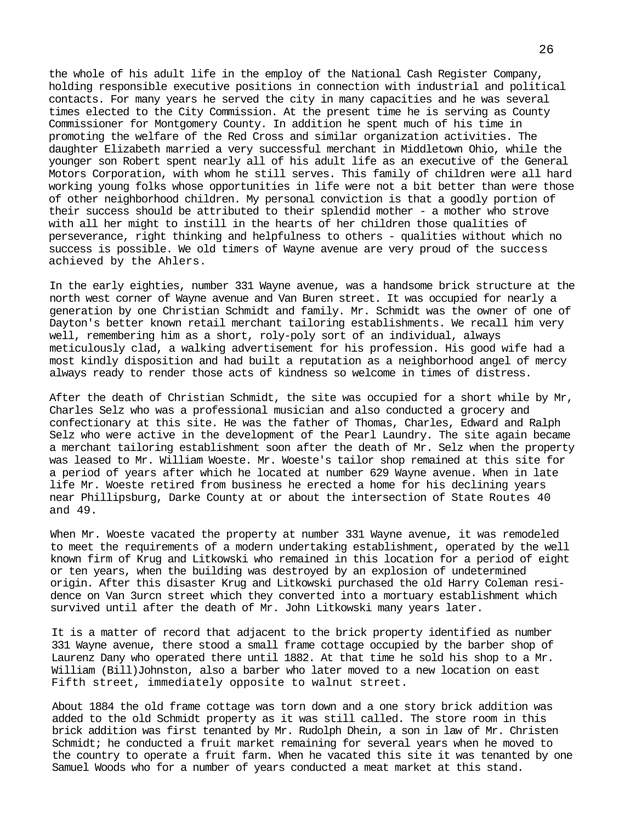the whole of his adult life in the employ of the National Cash Register Company, holding responsible executive positions in connection with industrial and political contacts. For many years he served the city in many capacities and he was several times elected to the City Commission. At the present time he is serving as County Commissioner for Montgomery County. In addition he spent much of his time in promoting the welfare of the Red Cross and similar organization activities. The daughter Elizabeth married a very successful merchant in Middletown Ohio, while the younger son Robert spent nearly all of his adult life as an executive of the General Motors Corporation, with whom he still serves. This family of children were all hard working young folks whose opportunities in life were not a bit better than were those of other neighborhood children. My personal conviction is that a goodly portion of their success should be attributed to their splendid mother - a mother who strove with all her might to instill in the hearts of her children those qualities of perseverance, right thinking and helpfulness to others - qualities without which no success is possible. We old timers of Wayne avenue are very proud of the success achieved by the Ahlers.

In the early eighties, number 331 Wayne avenue, was a handsome brick structure at the north west corner of Wayne avenue and Van Buren street. It was occupied for nearly a generation by one Christian Schmidt and family. Mr. Schmidt was the owner of one of Dayton's better known retail merchant tailoring establishments. We recall him very well, remembering him as a short, roly-poly sort of an individual, always meticulously clad, a walking advertisement for his profession. His good wife had a most kindly disposition and had built a reputation as a neighborhood angel of mercy always ready to render those acts of kindness so welcome in times of distress.

After the death of Christian Schmidt, the site was occupied for a short while by Mr, Charles Selz who was a professional musician and also conducted a grocery and confectionary at this site. He was the father of Thomas, Charles, Edward and Ralph Selz who were active in the development of the Pearl Laundry. The site again became a merchant tailoring establishment soon after the death of Mr. Selz when the property was leased to Mr. William Woeste. Mr. Woeste's tailor shop remained at this site for a period of years after which he located at number 629 Wayne avenue. When in late life Mr. Woeste retired from business he erected a home for his declining years near Phillipsburg, Darke County at or about the intersection of State Routes 40 and 49.

When Mr. Woeste vacated the property at number 331 Wayne avenue, it was remodeled to meet the requirements of a modern undertaking establishment, operated by the well known firm of Krug and Litkowski who remained in this location for a period of eight or ten years, when the building was destroyed by an explosion of undetermined origin. After this disaster Krug and Litkowski purchased the old Harry Coleman residence on Van 3urcn street which they converted into a mortuary establishment which survived until after the death of Mr. John Litkowski many years later.

It is a matter of record that adjacent to the brick property identified as number 331 Wayne avenue, there stood a small frame cottage occupied by the barber shop of Laurenz Dany who operated there until 1882. At that time he sold his shop to a Mr. William (Bill)Johnston, also a barber who later moved to a new location on east Fifth street, immediately opposite to walnut street.

About 1884 the old frame cottage was torn down and a one story brick addition was added to the old Schmidt property as it was still called. The store room in this brick addition was first tenanted by Mr. Rudolph Dhein, a son in law of Mr. Christen Schmidt; he conducted a fruit market remaining for several years when he moved to the country to operate a fruit farm. When he vacated this site it was tenanted by one Samuel Woods who for a number of years conducted a meat market at this stand.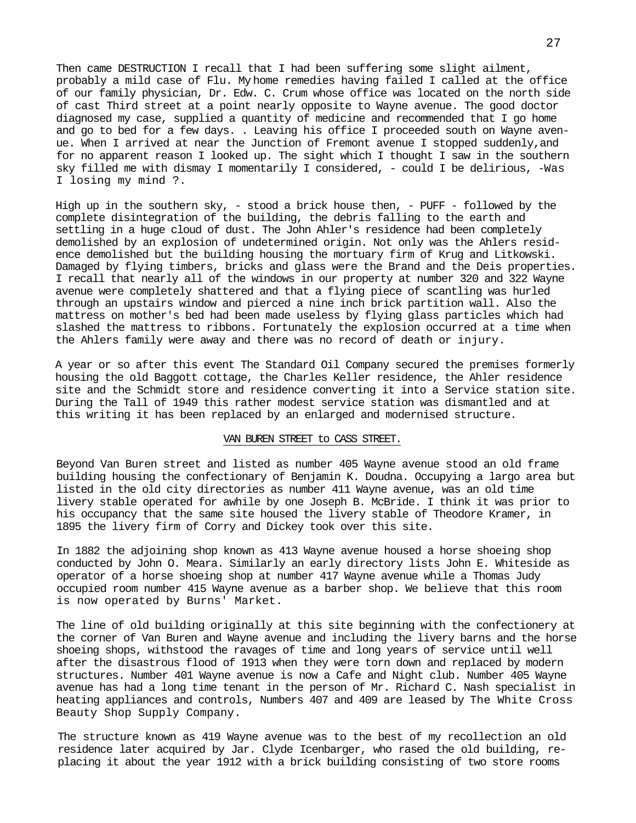Then came DESTRUCTION I recall that I had been suffering some slight ailment, probably a mild case of Flu. My home remedies having failed I called at the office of our family physician, Dr. Edw. C. Crum whose office was located on the north side of cast Third street at a point nearly opposite to Wayne avenue. The good doctor diagnosed my case, supplied a quantity of medicine and recommended that I go home and go to bed for a few days. . Leaving his office I proceeded south on Wayne avenue. When I arrived at near the Junction of Fremont avenue I stopped suddenly,and for no apparent reason I looked up. The sight which I thought I saw in the southern sky filled me with dismay I momentarily I considered, - could I be delirious, -Was I losing my mind ?.

High up in the southern sky, - stood a brick house then, - PUFF - followed by the complete disintegration of the building, the debris falling to the earth and settling in a huge cloud of dust. The John Ahler's residence had been completely demolished by an explosion of undetermined origin. Not only was the Ahlers residence demolished but the building housing the mortuary firm of Krug and Litkowski. Damaged by flying timbers, bricks and glass were the Brand and the Deis properties. I recall that nearly all of the windows in our property at number 320 and 322 Wayne avenue were completely shattered and that a flying piece of scantling was hurled through an upstairs window and pierced a nine inch brick partition wall. Also the mattress on mother's bed had been made useless by flying glass particles which had slashed the mattress to ribbons. Fortunately the explosion occurred at a time when the Ahlers family were away and there was no record of death or injury.

A year or so after this event The Standard Oil Company secured the premises formerly housing the old Baggott cottage, the Charles Keller residence, the Ahler residence site and the Schmidt store and residence converting it into a Service station site. During the Tall of 1949 this rather modest service station was dismantled and at this writing it has been replaced by an enlarged and modernised structure.

## VAN BUREN STREET to CASS STREET.

Beyond Van Buren street and listed as number 405 Wayne avenue stood an old frame building housing the confectionary of Benjamin K. Doudna. Occupying a largo area but listed in the old city directories as number 411 Wayne avenue, was an old time livery stable operated for awhile by one Joseph B. McBride. I think it was prior to his occupancy that the same site housed the livery stable of Theodore Kramer, in 1895 the livery firm of Corry and Dickey took over this site.

In 1882 the adjoining shop known as 413 Wayne avenue housed a horse shoeing shop conducted by John O. Meara. Similarly an early directory lists John E. Whiteside as operator of a horse shoeing shop at number 417 Wayne avenue while a Thomas Judy occupied room number 415 Wayne avenue as a barber shop. We believe that this room is now operated by Burns' Market.

The line of old building originally at this site beginning with the confectionery at the corner of Van Buren and Wayne avenue and including the livery barns and the horse shoeing shops, withstood the ravages of time and long years of service until well after the disastrous flood of 1913 when they were torn down and replaced by modern structures. Number 401 Wayne avenue is now a Cafe and Night club. Number 405 Wayne avenue has had a long time tenant in the person of Mr. Richard C. Nash specialist in heating appliances and controls, Numbers 407 and 409 are leased by The White Cross Beauty Shop Supply Company.

The structure known as 419 Wayne avenue was to the best of my recollection an old residence later acquired by Jar. Clyde Icenbarger, who rased the old building, replacing it about the year 1912 with a brick building consisting of two store rooms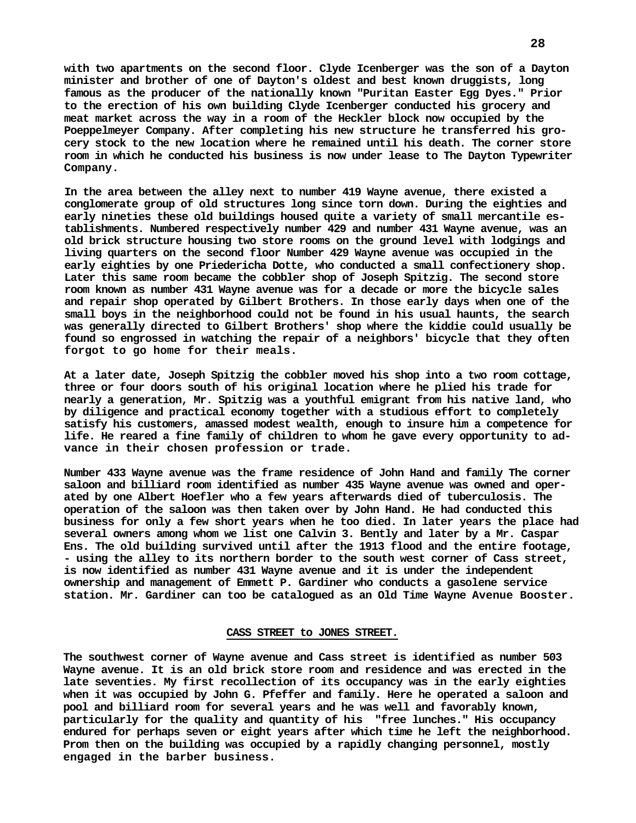**with two apartments on the second floor. Clyde Icenberger was the son of a Dayton minister and brother of one of Dayton's oldest and best known druggists, long famous as the producer of the nationally known "Puritan Easter Egg Dyes." Prior to the erection of his own building Clyde Icenberger conducted his grocery and meat market across the way in a room of the Heckler block now occupied by the Poeppelmeyer Company. After completing his new structure he transferred his grocery stock to the new location where he remained until his death. The corner store room in which he conducted his business is now under lease to The Dayton Typewriter Company.**

**In the area between the alley next to number 419 Wayne avenue, there existed a conglomerate group of old structures long since torn down. During the eighties and early nineties these old buildings housed quite a variety of small mercantile establishments. Numbered respectively number 429 and number 431 Wayne avenue, was an old brick structure housing two store rooms on the ground level with lodgings and living quarters on the second floor Number 429 Wayne avenue was occupied in the early eighties by one Priedericha Dotte, who conducted a small confectionery shop. Later this same room became the cobbler shop of Joseph Spitzig. The second store room known as number 431 Wayne avenue was for a decade or more the bicycle sales and repair shop operated by Gilbert Brothers. In those early days when one of the small boys in the neighborhood could not be found in his usual haunts, the search was generally directed to Gilbert Brothers' shop where the kiddie could usually be found so engrossed in watching the repair of a neighbors' bicycle that they often forgot to go home for their meals.**

**At a later date, Joseph Spitzig the cobbler moved his shop into a two room cottage, three or four doors south of his original location where he plied his trade for nearly a generation, Mr. Spitzig was a youthful emigrant from his native land, who by diligence and practical economy together with a studious effort to completely satisfy his customers, amassed modest wealth, enough to insure him a competence for life. He reared a fine family of children to whom he gave every opportunity to advance in their chosen profession or trade.**

**Number 433 Wayne avenue was the frame residence of John Hand and family The corner saloon and billiard room identified as number 435 Wayne avenue was owned and operated by one Albert Hoefler who a few years afterwards died of tuberculosis. The operation of the saloon was then taken over by John Hand. He had conducted this business for only a few short years when he too died. In later years the place had several owners among whom we list one Calvin 3. Bently and later by a Mr. Caspar Ens. The old building survived until after the 1913 flood and the entire footage, - using the alley to its northern border to the south west corner of Cass street, is now identified as number 431 Wayne avenue and it is under the independent ownership and management of Emmett P. Gardiner who conducts a gasolene service station. Mr. Gardiner can too be catalogued as an Old Time Wayne Avenue Booster.**

#### **CASS STREET to JONES STREET.**

**The southwest corner of Wayne avenue and Cass street is identified as number 503 Wayne avenue. It is an old brick store room and residence and was erected in the late seventies. My first recollection of its occupancy was in the early eighties when it was occupied by John G. Pfeffer and family. Here he operated a saloon and pool and billiard room for several years and he was well and favorably known, particularly for the quality and quantity of his "free lunches." His occupancy endured for perhaps seven or eight years after which time he left the neighborhood. Prom then on the building was occupied by a rapidly changing personnel, mostly engaged in the barber business.**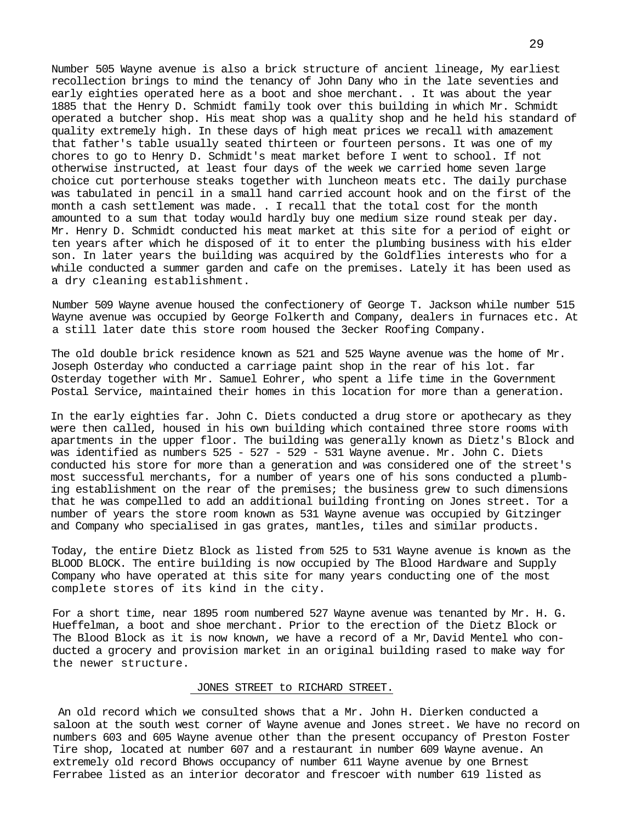Number 505 Wayne avenue is also a brick structure of ancient lineage, My earliest recollection brings to mind the tenancy of John Dany who in the late seventies and early eighties operated here as a boot and shoe merchant. . It was about the year 1885 that the Henry D. Schmidt family took over this building in which Mr. Schmidt operated a butcher shop. His meat shop was a quality shop and he held his standard of quality extremely high. In these days of high meat prices we recall with amazement that father's table usually seated thirteen or fourteen persons. It was one of my chores to go to Henry D. Schmidt's meat market before I went to school. If not otherwise instructed, at least four days of the week we carried home seven large choice cut porterhouse steaks together with luncheon meats etc. The daily purchase was tabulated in pencil in a small hand carried account hook and on the first of the month a cash settlement was made. . I recall that the total cost for the month amounted to a sum that today would hardly buy one medium size round steak per day. Mr. Henry D. Schmidt conducted his meat market at this site for a period of eight or ten years after which he disposed of it to enter the plumbing business with his elder son. In later years the building was acquired by the Goldflies interests who for a while conducted a summer garden and cafe on the premises. Lately it has been used as a dry cleaning establishment.

Number 509 Wayne avenue housed the confectionery of George T. Jackson while number 515 Wayne avenue was occupied by George Folkerth and Company, dealers in furnaces etc. At a still later date this store room housed the 3ecker Roofing Company.

The old double brick residence known as 521 and 525 Wayne avenue was the home of Mr. Joseph Osterday who conducted a carriage paint shop in the rear of his lot. far Osterday together with Mr. Samuel Eohrer, who spent a life time in the Government Postal Service, maintained their homes in this location for more than a generation.

In the early eighties far. John C. Diets conducted a drug store or apothecary as they were then called, housed in his own building which contained three store rooms with apartments in the upper floor. The building was generally known as Dietz's Block and was identified as numbers 525 - 527 - 529 - 531 Wayne avenue. Mr. John C. Diets conducted his store for more than a generation and was considered one of the street's most successful merchants, for a number of years one of his sons conducted a plumbing establishment on the rear of the premises; the business grew to such dimensions that he was compelled to add an additional building fronting on Jones street. Tor a number of years the store room known as 531 Wayne avenue was occupied by Gitzinger and Company who specialised in gas grates, mantles, tiles and similar products.

Today, the entire Dietz Block as listed from 525 to 531 Wayne avenue is known as the BLOOD BLOCK. The entire building is now occupied by The Blood Hardware and Supply Company who have operated at this site for many years conducting one of the most complete stores of its kind in the city.

For a short time, near 1895 room numbered 527 Wayne avenue was tenanted by Mr. H. G. Hueffelman, a boot and shoe merchant. Prior to the erection of the Dietz Block or The Blood Block as it is now known, we have a record of a Mr*,* David Mentel who conducted a grocery and provision market in an original building rased to make way for the newer structure.

## JONES STREET to RICHARD STREET.

An old record which we consulted shows that a Mr. John H. Dierken conducted a saloon at the south west corner of Wayne avenue and Jones street. We have no record on numbers 603 and 605 Wayne avenue other than the present occupancy of Preston Foster Tire shop, located at number 607 and a restaurant in number 609 Wayne avenue. An extremely old record Bhows occupancy of number 611 Wayne avenue by one Brnest Ferrabee listed as an interior decorator and frescoer with number 619 listed as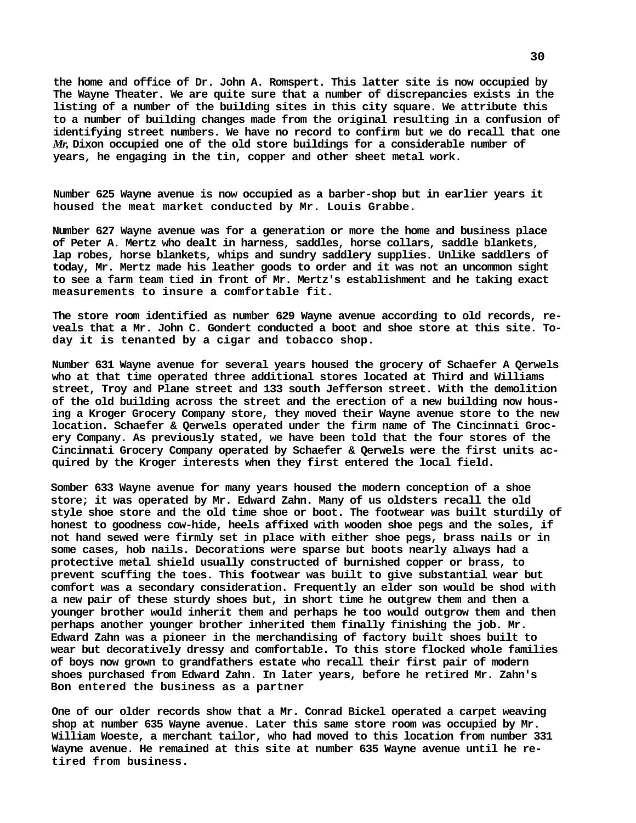**the home and office of Dr. John A. Romspert. This latter site is now occupied by The Wayne Theater. We are quite sure that a number of discrepancies exists in the listing of a number of the building sites in this city square. We attribute this to a number of building changes made from the original resulting in a confusion of identifying street numbers. We have no record to confirm but we do recall that one**  *Mr,* **Dixon occupied one of the old store buildings for a considerable number of years, he engaging in the tin, copper and other sheet metal work.**

**Number 625 Wayne avenue is now occupied as a barber-shop but in earlier years it housed the meat market conducted by Mr. Louis Grabbe.**

**Number 627 Wayne avenue was for a generation or more the home and business place of Peter A. Mertz who dealt in harness, saddles, horse collars, saddle blankets, lap robes, horse blankets, whips and sundry saddlery supplies. Unlike saddlers of today, Mr. Mertz made his leather goods to order and it was not an uncommon sight to see a farm team tied in front of Mr. Mertz's establishment and he taking exact measurements to insure a comfortable fit.**

**The store room identified as number 629 Wayne avenue according to old records, reveals that a Mr. John C. Gondert conducted a boot and shoe store at this site. Today it is tenanted by a cigar and tobacco shop.**

**Number 631 Wayne avenue for several years housed the grocery of Schaefer A Qerwels who at that time operated three additional stores located at Third and Williams street, Troy and Plane street and 133 south Jefferson street. With the demolition of the old building across the street and the erection of a new building now housing a Kroger Grocery Company store, they moved their Wayne avenue store to the new location. Schaefer & Qerwels operated under the firm name of The Cincinnati Grocery Company. As previously stated, we have been told that the four stores of the Cincinnati Grocery Company operated by Schaefer & Qerwels were the first units acquired by the Kroger interests when they first entered the local field.**

**Somber 633 Wayne avenue for many years housed the modern conception of a shoe store; it was operated by Mr. Edward Zahn. Many of us oldsters recall the old style shoe store and the old time shoe or boot. The footwear was built sturdily of honest to goodness cow-hide, heels affixed with wooden shoe pegs and the soles, if not hand sewed were firmly set in place with either shoe pegs, brass nails or in some cases, hob nails. Decorations were sparse but boots nearly always had a protective metal shield usually constructed of burnished copper or brass, to prevent scuffing the toes. This footwear was built to give substantial wear but comfort was a secondary consideration. Frequently an elder son would be shod with a new pair of these sturdy shoes but, in short time he outgrew them and then a younger brother would inherit them and perhaps he too would outgrow them and then perhaps another younger brother inherited them finally finishing the job. Mr. Edward Zahn was a pioneer in the merchandising of factory built shoes built to wear but decoratively dressy and comfortable. To this store flocked whole families of boys now grown to grandfathers estate who recall their first pair of modern shoes purchased from Edward Zahn. In later years, before he retired Mr. Zahn's Bon entered the business as a partner**

**One of our older records show that a Mr. Conrad Bickel operated a carpet weaving shop at number 635 Wayne avenue. Later this same store room was occupied by Mr. William Woeste, a merchant tailor, who had moved to this location from number 331 Wayne avenue. He remained at this site at number 635 Wayne avenue until he retired from business.**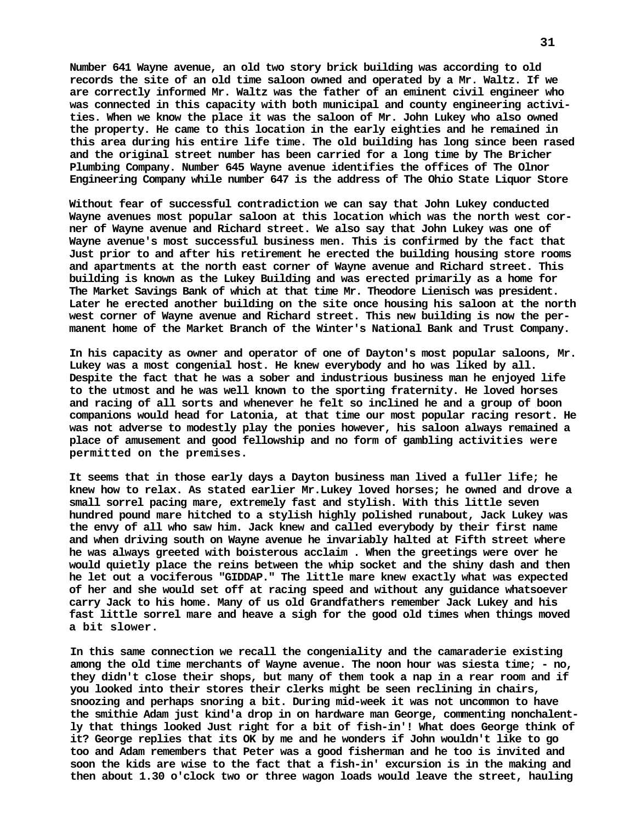**Number 641 Wayne avenue, an old two story brick building was according to old records the site of an old time saloon owned and operated by a Mr. Waltz. If we are correctly informed Mr. Waltz was the father of an eminent civil engineer who was connected in this capacity with both municipal and county engineering activities. When we know the place it was the saloon of Mr. John Lukey who also owned the property. He came to this location in the early eighties and he remained in this area during his entire life time. The old building has long since been rased and the original street number has been carried for a long time by The Bricher Plumbing Company. Number 645 Wayne avenue identifies the offices of The Olnor Engineering Company while number 647 is the address of The Ohio State Liquor Store**

**Without fear of successful contradiction we can say that John Lukey conducted Wayne avenues most popular saloon at this location which was the north west corner of Wayne avenue and Richard street. We also say that John Lukey was one of Wayne avenue's most successful business men. This is confirmed by the fact that Just prior to and after his retirement he erected the building housing store rooms and apartments at the north east corner of Wayne avenue and Richard street. This building is known as the Lukey Building and was erected primarily as a home for The Market Savings Bank of which at that time Mr. Theodore Lienisch was president. Later he erected another building on the site once housing his saloon at the north west corner of Wayne avenue and Richard street. This new building is now the permanent home of the Market Branch of the Winter's National Bank and Trust Company.**

**In his capacity as owner and operator of one of Dayton's most popular saloons, Mr. Lukey was a most congenial host. He knew everybody and ho was liked by all. Despite the fact that he was a sober and industrious business man he enjoyed life to the utmost and he was well known to the sporting fraternity. He loved horses and racing of all sorts and whenever he felt so inclined he and a group of boon companions would head for Latonia, at that time our most popular racing resort. He was not adverse to modestly play the ponies however, his saloon always remained a place of amusement and good fellowship and no form of gambling activities were permitted on the premises.**

**It seems that in those early days a Dayton business man lived a fuller life; he knew how to relax. As stated earlier Mr.Lukey loved horses; he owned and drove a small sorrel pacing mare, extremely fast and stylish. With this little seven hundred pound mare hitched to a stylish highly polished runabout, Jack Lukey was the envy of all who saw him. Jack knew and called everybody by their first name and when driving south on Wayne avenue he invariably halted at Fifth street where he was always greeted with boisterous acclaim . When the greetings were over he would quietly place the reins between the whip socket and the shiny dash and then he let out a vociferous "GIDDAP." The little mare knew exactly what was expected of her and she would set off at racing speed and without any guidance whatsoever carry Jack to his home. Many of us old Grandfathers remember Jack Lukey and his fast little sorrel mare and heave a sigh for the good old times when things moved a bit slower.**

**In this same connection we recall the congeniality and the camaraderie existing among the old time merchants of Wayne avenue. The noon hour was siesta time; - no, they didn't close their shops, but many of them took a nap in a rear room and if you looked into their stores their clerks might be seen reclining in chairs, snoozing and perhaps snoring a bit. During mid-week it was not uncommon to have the smithie Adam just kind'a drop in on hardware man George, commenting nonchalently that things looked Just right for a bit of fish-in'! What does George think of it? George replies that its OK by me and he wonders if John wouldn't like to go too and Adam remembers that Peter was a good fisherman and he too is invited and soon the kids are wise to the fact that a fish-in' excursion is in the making and then about 1.30 o'clock two or three wagon loads would leave the street, hauling**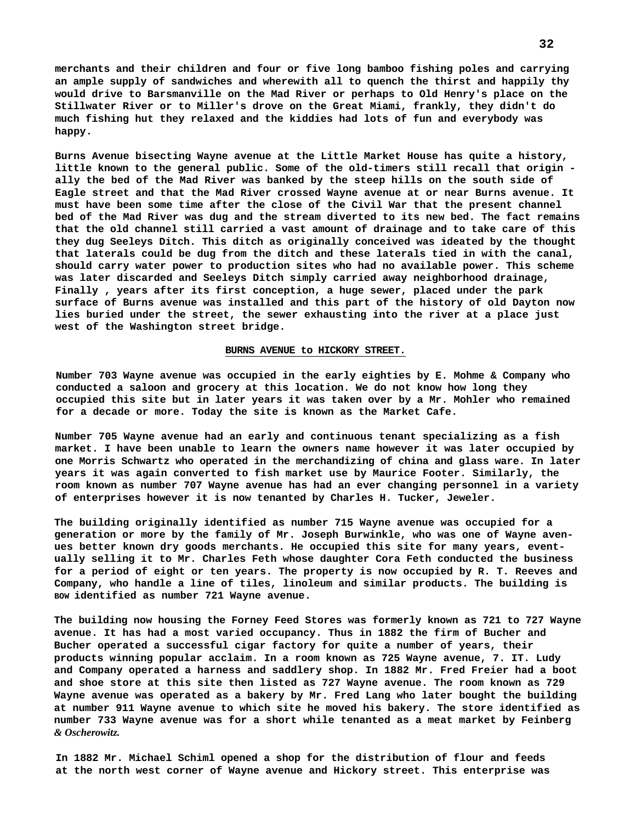**merchants and their children and four or five long bamboo fishing poles and carrying an ample supply of sandwiches and wherewith all to quench the thirst and happily thy would drive to Barsmanville on the Mad River or perhaps to Old Henry's place on the Stillwater River or to Miller's drove on the Great Miami, frankly, they didn't do much fishing hut they relaxed and the kiddies had lots of fun and everybody was happy.**

**Burns Avenue bisecting Wayne avenue at the Little Market House has quite a history, little known to the general public. Some of the old-timers still recall that origin ally the bed of the Mad River was banked by the steep hills on the south side of Eagle street and that the Mad River crossed Wayne avenue at or near Burns avenue. It must have been some time after the close of the Civil War that the present channel bed of the Mad River was dug and the stream diverted to its new bed. The fact remains that the old channel still carried a vast amount of drainage and to take care of this they dug Seeleys Ditch. This ditch as originally conceived was ideated by the thought that laterals could be dug from the ditch and these laterals tied in with the canal, should carry water power to production sites who had no available power. This scheme was later discarded and Seeleys Ditch simply carried away neighborhood drainage, Finally , years after its first conception, a huge sewer, placed under the park surface of Burns avenue was installed and this part of the history of old Dayton now lies buried under the street, the sewer exhausting into the river at a place just west of the Washington street bridge.**

#### **BURNS AVENUE to HICKORY STREET.**

**Number 703 Wayne avenue was occupied in the early eighties by E. Mohme & Company who conducted a saloon and grocery at this location. We do not know how long they occupied this site but in later years it was taken over by a Mr. Mohler who remained for a decade or more. Today the site is known as the Market Cafe.**

**Number 705 Wayne avenue had an early and continuous tenant specializing as a fish market. I have been unable to learn the owners name however it was later occupied by one Morris Schwartz who operated in the merchandizing of china and glass ware. In later years it was again converted to fish market use by Maurice Footer. Similarly, the room known****as number 707 Wayne avenue has had an ever changing personnel in a variety of enterprises however it is now tenanted by Charles H. Tucker, Jeweler.**

**The building originally identified as number 715 Wayne avenue was occupied for a generation or more by the family of Mr. Joseph Burwinkle, who was one of Wayne avenues better known dry goods merchants. He occupied this site for many years, eventually selling it to Mr. Charles Feth whose daughter Cora Feth conducted the business for a period of eight or ten years. The property is now occupied by R. T. Reeves and Company, who handle a line of tiles, linoleum and similar products. The building is BOW identified as number 721 Wayne avenue.**

**The building now housing the Forney Feed Stores was formerly known as 721 to 727 Wayne avenue. It has had a most varied occupancy. Thus in 1882 the firm of Bucher and Bucher operated a successful cigar factory for quite a number of years, their products winning popular acclaim. In a room known as 725 Wayne avenue, 7. IT. Ludy and Company operated a harness and saddlery shop. In 1882 Mr. Fred Freier had a boot and shoe store at this site then listed as 727 Wayne avenue. The room known as 729 Wayne avenue was operated as a bakery by Mr. Fred Lang who later bought the building at number 911 Wayne avenue to which site he moved his bakery. The store identified as number 733 Wayne avenue was for a short while tenanted as a meat market by Feinberg**  *& Oscherowitz.*

**In 1882 Mr. Michael Schiml opened a shop for the distribution of flour and feeds at the north west corner of Wayne avenue and Hickory street. This enterprise was**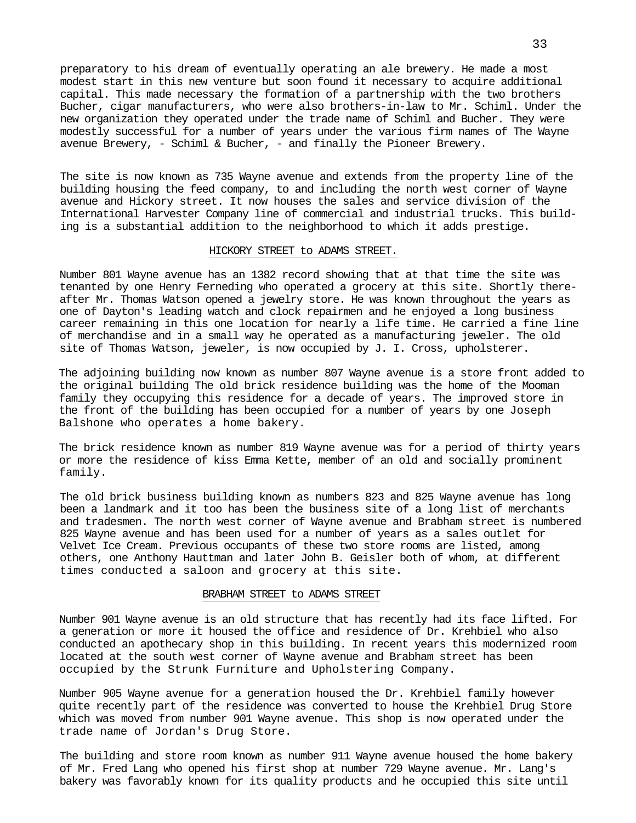preparatory to his dream of eventually operating an ale brewery. He made a most modest start in this new venture but soon found it necessary to acquire additional capital. This made necessary the formation of a partnership with the two brothers Bucher, cigar manufacturers, who were also brothers-in-law to Mr. Schiml. Under the new organization they operated under the trade name of Schiml and Bucher. They were modestly successful for a number of years under the various firm names of The Wayne avenue Brewery,  $-$  Schiml & Bucher,  $-$  and finally the Pioneer Brewery.

The site is now known as 735 Wayne avenue and extends from the property line of the building housing the feed company, to and including the north west corner of Wayne avenue and Hickory street. It now houses the sales and service division of the International Harvester Company line of commercial and industrial trucks. This building is a substantial addition to the neighborhood to which it adds prestige.

## HICKORY STREET to ADAMS STREET.

Number 801 Wayne avenue has an 1382 record showing that at that time the site was tenanted by one Henry Ferneding who operated a grocery at this site. Shortly thereafter Mr. Thomas Watson opened a jewelry store. He was known throughout the years as one of Dayton's leading watch and clock repairmen and he enjoyed a long business career remaining in this one location for nearly a life time. He carried a fine line of merchandise and in a small way he operated as a manufacturing jeweler. The old site of Thomas Watson, jeweler, is now occupied by J. I. Cross, upholsterer.

The adjoining building now known as number 807 Wayne avenue is a store front added to the original building The old brick residence building was the home of the Mooman family they occupying this residence for a decade of years. The improved store in the front of the building has been occupied for a number of years by one Joseph Balshone who operates a home bakery.

The brick residence known as number 819 Wayne avenue was for a period of thirty years or more the residence of kiss Emma Kette, member of an old and socially prominent family.

The old brick business building known as numbers 823 and 825 Wayne avenue has long been a landmark and it too has been the business site of a long list of merchants and tradesmen. The north west corner of Wayne avenue and Brabham street is numbered 825 Wayne avenue and has been used for a number of years as a sales outlet for Velvet Ice Cream. Previous occupants of these two store rooms are listed, among others, one Anthony Hauttman and later John B. Geisler both of whom, at different times conducted a saloon and grocery at this site.

## BRABHAM STREET to ADAMS STREET

Number 901 Wayne avenue is an old structure that has recently had its face lifted. For a generation or more it housed the office and residence of Dr. Krehbiel who also conducted an apothecary shop in this building. In recent years this modernized room located at the south west corner of Wayne avenue and Brabham street has been occupied bythe Strunk Furniture and Upholstering Company.

Number 905 Wayne avenue for a generation housed the Dr. Krehbiel family however quite recently part of the residence was converted to house the Krehbiel Drug Store which was moved from number 901 Wayne avenue. This shop is now operated under the trade name of Jordan's Drug Store.

The building and store room known as number 911 Wayne avenue housed the home bakery of Mr. Fred Lang who opened his first shop at number 729 Wayne avenue. Mr. Lang's bakery was favorably known for its quality products and he occupied this site until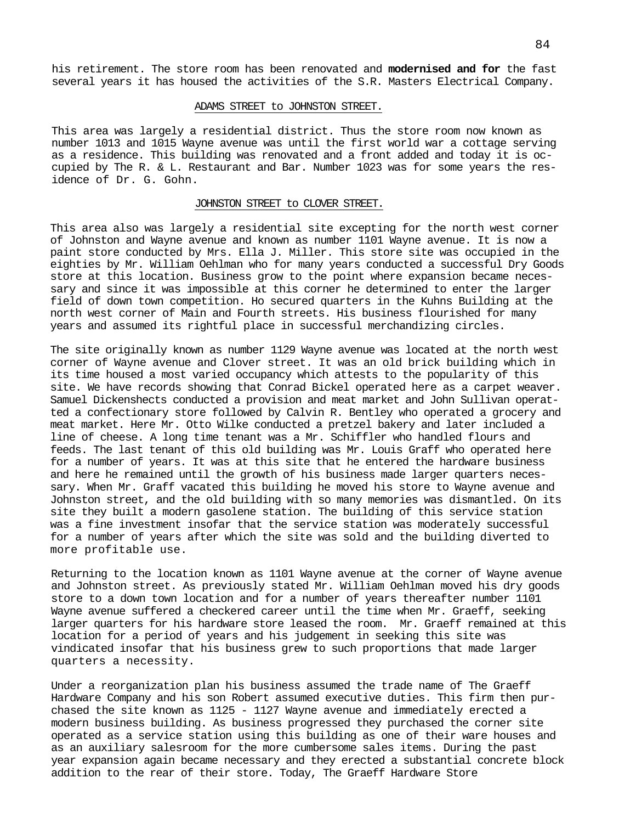his retirement. The store room has been renovated and **modernised and for** the fast several years it has housed the activities of the S.R. Masters Electrical Company.

#### ADAMS STREET to JOHNSTON STREET.

This area was largely a residential district. Thus the store room now known as number 1013 and 1015 Wayne avenue was until the first world war a cottage serving as a residence. This building was renovated and a front added and today it is occupied by The R. & L. Restaurant and Bar. Number 1023 was for some years the residence of Dr. G. Gohn.

#### JOHNSTON STREET to CLOVER STREET.

This area also was largely a residential site excepting for the north west corner of Johnston and Wayne avenue and known as number 1101 Wayne avenue. It is now a paint store conducted by Mrs. Ella J. Miller. This store site was occupied in the eighties by Mr. William Oehlman who for many years conducted a successful Dry Goods store at this location. Business grow to the point where expansion became necessary and since it was impossible at this corner he determined to enter the larger field of down town competition. Ho secured quarters in the Kuhns Building at the north west corner of Main and Fourth streets. His business flourished for many years and assumed its rightful place in successful merchandizing circles.

The site originally known as number 1129 Wayne avenue was located at the north west corner of Wayne avenue and Clover street. It was an old brick building which in its time housed a most varied occupancy which attests to the popularity of this site. We have records showing that Conrad Bickel operated here as a carpet weaver. Samuel Dickenshects conducted a provision and meat market and John Sullivan operatted a confectionary store followed by Calvin R. Bentley who operated a grocery and meat market. Here Mr. Otto Wilke conducted a pretzel bakery and later included a line of cheese. A long time tenant was a Mr. Schiffler who handled flours and feeds. The last tenant of this old building was Mr. Louis Graff who operated here for a number of years. It was at this site that he entered the hardware business and here he remained until the growth of his business made larger quarters necessary. When Mr. Graff vacated this building he moved his store to Wayne avenue and Johnston street, and the old building with so many memories was dismantled. On its site they built a modern gasolene station. The building of this service station was a fine investment insofar that the service station was moderately successful for a number of years after which the site was sold and the building diverted to more profitable use.

Returning to the location known as 1101 Wayne avenue at the corner of Wayne avenue and Johnston street. As previously stated Mr. William Oehlman moved his dry goods store to a down town location and for a number of years thereafter number 1101 Wayne avenue suffered a checkered career until the time when Mr. Graeff, seeking larger quarters for his hardware store leased the room. Mr. Graeff remained at this location for a period of years and his judgement in seeking this site was vindicated insofar that his business grew to such proportions that made larger quarters a necessity.

Under a reorganization plan his business assumed the trade name of The Graeff Hardware Company and his son Robert assumed executive duties. This firm then purchased the site known as 1125 - 1127 Wayne avenue and immediately erected a modern business building. As business progressed they purchased the corner site operated as a service station using this building as one of their ware houses and as an auxiliary salesroom for the more cumbersome sales items. During the past year expansion again became necessary and they erected a substantial concrete block addition to the rear of their store. Today, The Graeff Hardware Store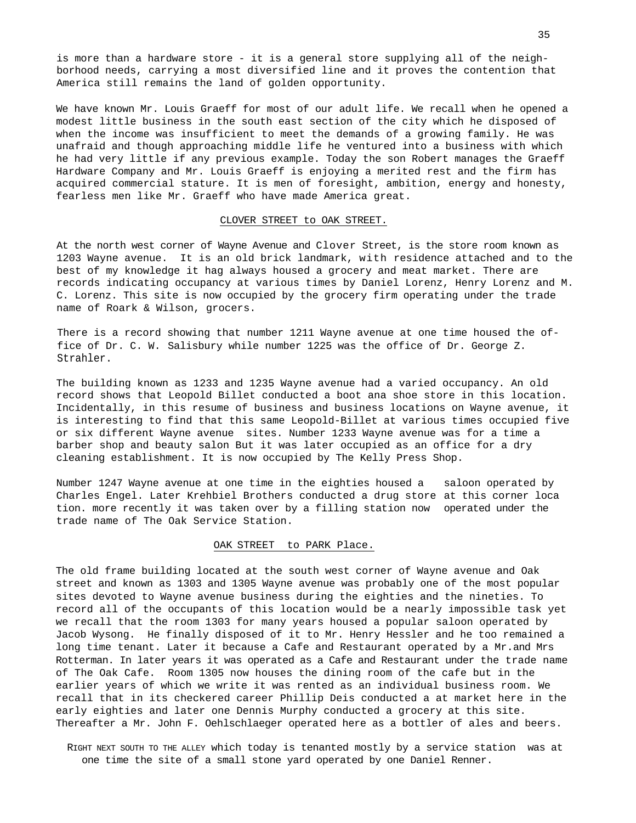is more than a hardware store - it is a general store supplying all of the neighborhood needs, carrying a most diversified line and it proves the contention that America still remains the land of golden opportunity.

We have known Mr. Louis Graeff for most of our adult life. We recall when he opened a modest little business in the south east section of the city which he disposed of when the income was insufficient to meet the demands of a growing family. He was unafraid and though approaching middle life he ventured into a business with which he had very little if any previous example. Today the son Robert manages the Graeff Hardware Company and Mr. Louis Graeff is enjoying a merited rest and the firm has acquired commercial stature. It is men of foresight, ambition, energy and honesty, fearless men like Mr. Graeff who have made America great.

#### CLOVER STREET to OAK STREET.

At the north west corner of Wayne Avenue and Clover Street, is the store room known as 1203 Wayne avenue. It is an old brick landmark, with residence attached and to the best of my knowledge it hag always housed a grocery and meat market. There are records indicating occupancy at various times by Daniel Lorenz, Henry Lorenz and M. C. Lorenz. This site is now occupied by the grocery firm operating under the trade name of Roark & Wilson, grocers.

There is a record showing that number 1211 Wayne avenue at one time housed the office of Dr. C. W.Salisbury while number 1225 was the office of Dr. George Z. Strahler.

The building known as 1233 and 1235 Wayne avenue had a varied occupancy. An old record shows that Leopold Billet conducted a boot ana shoe store in this location. Incidentally, in this resume of business and business locations on Wayne avenue, it is interesting to find that this same Leopold-Billet at various times occupied five or six different Wayne avenue sites. Number 1233 Wayne avenue was for a time a barber shop and beauty salon But it was later occupied as an office for a dry cleaning establishment. It is now occupied by The Kelly Press Shop.

Number 1247 Wayne avenue at one time in the eighties housed a saloon operated by Charles Engel. Later Krehbiel Brothers conducted a drug store at this corner loca tion. more recently it was taken over by a filling station now operated under the trade name of The Oak Service Station.

#### OAK STREET to PARK Place.

The old frame building located at the south west corner of Wayne avenue and Oak street and known as 1303 and 1305 Wayne avenue was probably one of the most popular sites devoted to Wayne avenue business during the eighties and the nineties. To record all of the occupants of this location would be a nearly impossible task yet we recall that the room 1303 for many years housed a popular saloon operated by Jacob Wysong. He finally disposed of it to Mr. Henry Hessler and he too remained a long time tenant. Later it because a Cafe and Restaurant operated by a Mr.and Mrs Rotterman. In later years it was operated as a Cafe and Restaurant under the trade name of The Oak Cafe. Room 1305 now houses the dining room of the cafe but in the earlier years of which we write it was rented as an individual business room. We recall that in its checkered career Phillip Deis conducted a at market here in the early eighties and later one Dennis Murphy conducted a grocery at this site. Thereafter a Mr. John F. Oehlschlaeger operated here as a bottler of ales and beers.

RIGHT NEXT SOUTH TO THE ALLEY which today is tenanted mostly by a service station was at one time the site of a small stone yard operated by one Daniel Renner.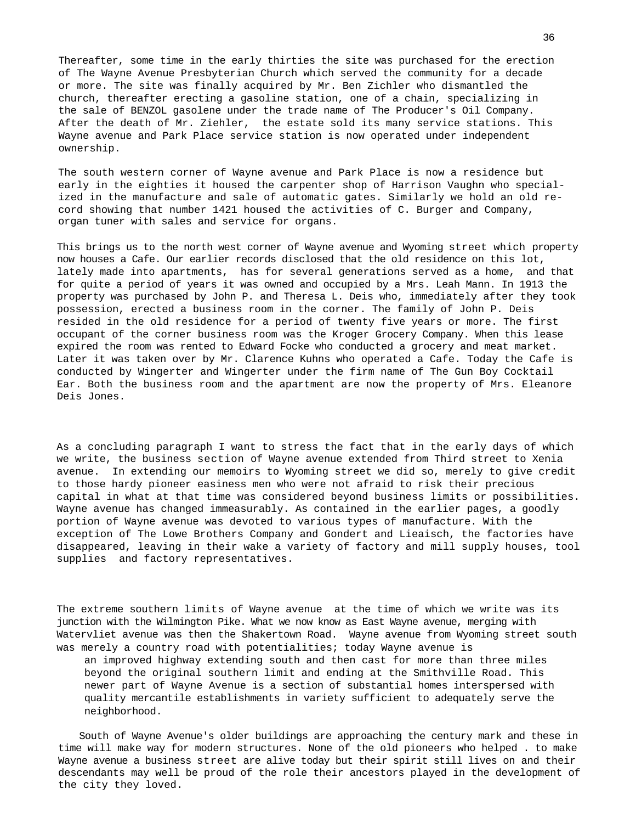Thereafter, some time in the early thirties the site was purchased for the erection of The Wayne Avenue Presbyterian Church which served the community for a decade or more. The site was finally acquired by Mr. Ben Zichler who dismantled the church, thereafter erecting a gasoline station, one of a chain, specializing in the sale of BENZOL gasolene under the [trade](http://trn.de/) name of The Producer's Oil Company. After the death of Mr. Ziehler, the estate sold its many service stations. This Wayne avenue and Park Place service station is now operated under independent ownership.

The south western corner of Wayne avenue and Park Place is now a residence but early in the eighties it housed the carpenter shop of Harrison Vaughn who specialized in the manufacture and sale of automatic gates. Similarly we hold an old record showing that number 1421 housed the activities of C. Burger and Company, organ tuner with sales and service for organs.

This brings us to the north west corner of Wayne avenue and Wyoming street which property now houses a Cafe. Our earlier records disclosed that the old residence on this lot, lately made into apartments, has for several generations served as a home, and that for quite a period of years it was owned and occupied by a Mrs. Leah Mann. In 1913 the property was purchased by John P. and Theresa L. Deis who, immediately after they took possession, erected a business room in the corner. The family of John P. Deis resided in the old residence for a period of twenty five years or more. The first occupant of the corner business room was the Kroger Grocery Company. When this lease expired the room was rented to Edward Focke who conducted a grocery and meat market. Later it was taken over by Mr. Clarence Kuhns who operated a Cafe. Today the Cafe is conducted by Wingerter and Wingerter under the firm name of The Gun Boy Cocktail Ear. Both the business room and the apartment are now the property of Mrs. Eleanore Deis Jones.

As a concluding paragraph I want to stress the fact that in the early days of which we write, the business section of Wayne avenue extended from Third street to Xenia avenue. In extending our memoirs to Wyoming street we did so, merely to give credit to those hardy pioneer easiness men who were not afraid to risk their precious capital in what at that time was considered beyond business limits or possibilities. Wayne avenue has changed immeasurably. As contained in the earlier pages, a goodly portion of Wayne avenue was devoted to various types of manufacture. With the exception of The Lowe Brothers Company and Gondert and Lieaisch, the factories have disappeared, leaving in their wake a variety of factory and mill supply houses, tool supplies and factory representatives.

The extreme southern limits of Wayne avenue at the time of which we write was its junction with the Wilmington Pike. What we now know as East Wayne avenue, merging with Watervliet avenue was then the Shakertown Road. Wayne avenue from Wyoming street south was merely a country road with potentialities; today Wayne avenue is

an improved highway extending south and then cast for more than three miles beyond the original southern limit and ending at the Smithville Road. This newer part of Wayne Avenue is a section of substantial homes interspersed with quality mercantile establishments in variety sufficient to adequately serve the neighborhood.

South of Wayne Avenue's older buildings are approaching the century mark and these in time will make way for modern structures. None of the old pioneers who helped . to make Wayne avenue a business street are alive today but their spirit still lives on and their descendants may well be proud of the role their ancestors played in the development of the city they loved.